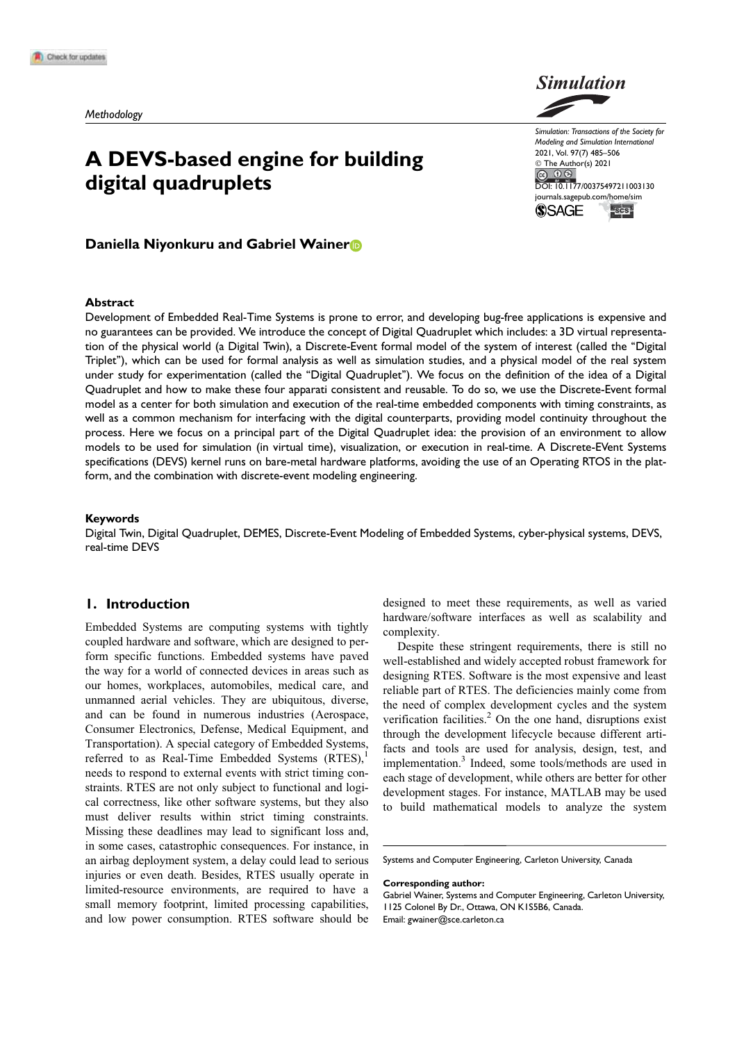# A DEVS-based engine for building digital quadruplets



Simulation: Transactions of the Society for Modeling and Simulation International 2021, Vol. 97(7) 485–506 © The Author(s) 2021 DOI: 10.1177/00375497211003130 journals.sagepub.com/home/sim **ISCS SSAGE** 

# Daniella Niyonkuru and Gabriel Wainer

### Abstract

Development of Embedded Real-Time Systems is prone to error, and developing bug-free applications is expensive and no guarantees can be provided. We introduce the concept of Digital Quadruplet which includes: a 3D virtual representation of the physical world (a Digital Twin), a Discrete-Event formal model of the system of interest (called the ''Digital Triplet''), which can be used for formal analysis as well as simulation studies, and a physical model of the real system under study for experimentation (called the ''Digital Quadruplet''). We focus on the definition of the idea of a Digital Quadruplet and how to make these four apparati consistent and reusable. To do so, we use the Discrete-Event formal model as a center for both simulation and execution of the real-time embedded components with timing constraints, as well as a common mechanism for interfacing with the digital counterparts, providing model continuity throughout the process. Here we focus on a principal part of the Digital Quadruplet idea: the provision of an environment to allow models to be used for simulation (in virtual time), visualization, or execution in real-time. A Discrete-EVent Systems specifications (DEVS) kernel runs on bare-metal hardware platforms, avoiding the use of an Operating RTOS in the platform, and the combination with discrete-event modeling engineering.

### Keywords

Digital Twin, Digital Quadruplet, DEMES, Discrete-Event Modeling of Embedded Systems, cyber-physical systems, DEVS, real-time DEVS

### 1. Introduction

Embedded Systems are computing systems with tightly coupled hardware and software, which are designed to perform specific functions. Embedded systems have paved the way for a world of connected devices in areas such as our homes, workplaces, automobiles, medical care, and unmanned aerial vehicles. They are ubiquitous, diverse, and can be found in numerous industries (Aerospace, Consumer Electronics, Defense, Medical Equipment, and Transportation). A special category of Embedded Systems, referred to as Real-Time Embedded Systems (RTES), needs to respond to external events with strict timing constraints. RTES are not only subject to functional and logical correctness, like other software systems, but they also must deliver results within strict timing constraints. Missing these deadlines may lead to significant loss and, in some cases, catastrophic consequences. For instance, in an airbag deployment system, a delay could lead to serious injuries or even death. Besides, RTES usually operate in limited-resource environments, are required to have a small memory footprint, limited processing capabilities, and low power consumption. RTES software should be

designed to meet these requirements, as well as varied hardware/software interfaces as well as scalability and complexity.

Despite these stringent requirements, there is still no well-established and widely accepted robust framework for designing RTES. Software is the most expensive and least reliable part of RTES. The deficiencies mainly come from the need of complex development cycles and the system verification facilities.<sup>2</sup> On the one hand, disruptions exist through the development lifecycle because different artifacts and tools are used for analysis, design, test, and implementation.3 Indeed, some tools/methods are used in each stage of development, while others are better for other development stages. For instance, MATLAB may be used to build mathematical models to analyze the system

Systems and Computer Engineering, Carleton University, Canada

Corresponding author:

Gabriel Wainer, Systems and Computer Engineering, Carleton University, 1125 Colonel By Dr., Ottawa, ON K1S5B6, Canada. Email: gwainer@sce.carleton.ca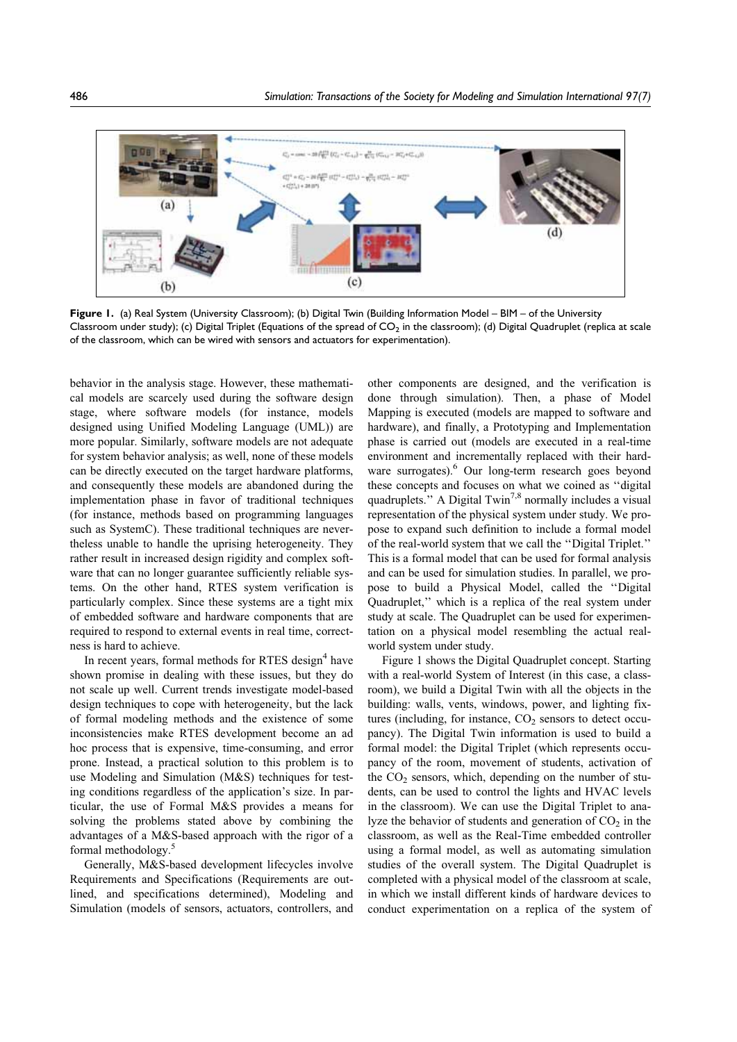

Figure 1. (a) Real System (University Classroom); (b) Digital Twin (Building Information Model – BIM – of the University Classroom under study); (c) Digital Triplet (Equations of the spread of  $CO<sub>2</sub>$  in the classroom); (d) Digital Quadruplet (replica at scale of the classroom, which can be wired with sensors and actuators for experimentation).

behavior in the analysis stage. However, these mathematical models are scarcely used during the software design stage, where software models (for instance, models designed using Unified Modeling Language (UML)) are more popular. Similarly, software models are not adequate for system behavior analysis; as well, none of these models can be directly executed on the target hardware platforms, and consequently these models are abandoned during the implementation phase in favor of traditional techniques (for instance, methods based on programming languages such as SystemC). These traditional techniques are nevertheless unable to handle the uprising heterogeneity. They rather result in increased design rigidity and complex software that can no longer guarantee sufficiently reliable systems. On the other hand, RTES system verification is particularly complex. Since these systems are a tight mix of embedded software and hardware components that are required to respond to external events in real time, correctness is hard to achieve.

In recent years, formal methods for RTES design<sup>4</sup> have shown promise in dealing with these issues, but they do not scale up well. Current trends investigate model-based design techniques to cope with heterogeneity, but the lack of formal modeling methods and the existence of some inconsistencies make RTES development become an ad hoc process that is expensive, time-consuming, and error prone. Instead, a practical solution to this problem is to use Modeling and Simulation (M&S) techniques for testing conditions regardless of the application's size. In particular, the use of Formal M&S provides a means for solving the problems stated above by combining the advantages of a M&S-based approach with the rigor of a formal methodology.5

Generally, M&S-based development lifecycles involve Requirements and Specifications (Requirements are outlined, and specifications determined), Modeling and Simulation (models of sensors, actuators, controllers, and

other components are designed, and the verification is done through simulation). Then, a phase of Model Mapping is executed (models are mapped to software and hardware), and finally, a Prototyping and Implementation phase is carried out (models are executed in a real-time environment and incrementally replaced with their hardware surrogates).<sup>6</sup> Our long-term research goes beyond these concepts and focuses on what we coined as ''digital quadruplets." A Digital Twin<sup>7,8</sup> normally includes a visual representation of the physical system under study. We propose to expand such definition to include a formal model of the real-world system that we call the ''Digital Triplet.'' This is a formal model that can be used for formal analysis and can be used for simulation studies. In parallel, we propose to build a Physical Model, called the ''Digital Quadruplet,'' which is a replica of the real system under study at scale. The Quadruplet can be used for experimentation on a physical model resembling the actual realworld system under study.

Figure 1 shows the Digital Quadruplet concept. Starting with a real-world System of Interest (in this case, a classroom), we build a Digital Twin with all the objects in the building: walls, vents, windows, power, and lighting fixtures (including, for instance,  $CO<sub>2</sub>$  sensors to detect occupancy). The Digital Twin information is used to build a formal model: the Digital Triplet (which represents occupancy of the room, movement of students, activation of the  $CO<sub>2</sub>$  sensors, which, depending on the number of students, can be used to control the lights and HVAC levels in the classroom). We can use the Digital Triplet to analyze the behavior of students and generation of  $CO<sub>2</sub>$  in the classroom, as well as the Real-Time embedded controller using a formal model, as well as automating simulation studies of the overall system. The Digital Quadruplet is completed with a physical model of the classroom at scale, in which we install different kinds of hardware devices to conduct experimentation on a replica of the system of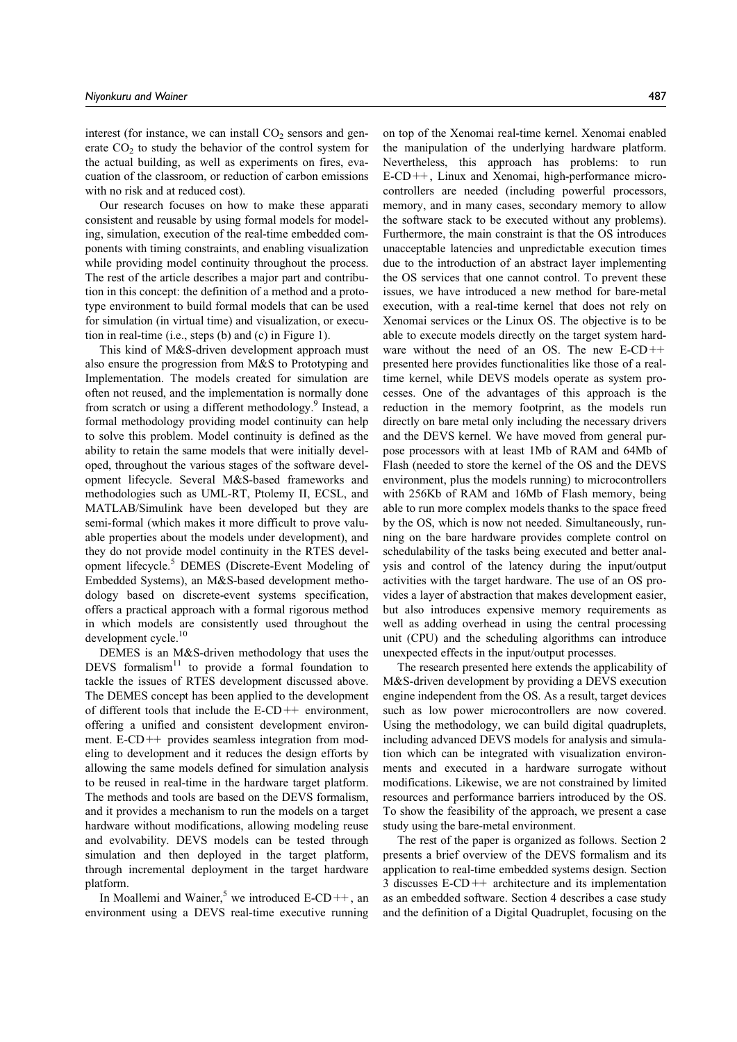interest (for instance, we can install  $CO<sub>2</sub>$  sensors and generate  $CO<sub>2</sub>$  to study the behavior of the control system for the actual building, as well as experiments on fires, evacuation of the classroom, or reduction of carbon emissions with no risk and at reduced cost).

Our research focuses on how to make these apparati consistent and reusable by using formal models for modeling, simulation, execution of the real-time embedded components with timing constraints, and enabling visualization while providing model continuity throughout the process. The rest of the article describes a major part and contribution in this concept: the definition of a method and a prototype environment to build formal models that can be used for simulation (in virtual time) and visualization, or execution in real-time (i.e., steps (b) and (c) in Figure 1).

This kind of M&S-driven development approach must also ensure the progression from M&S to Prototyping and Implementation. The models created for simulation are often not reused, and the implementation is normally done from scratch or using a different methodology.<sup>9</sup> Instead, a formal methodology providing model continuity can help to solve this problem. Model continuity is defined as the ability to retain the same models that were initially developed, throughout the various stages of the software development lifecycle. Several M&S-based frameworks and methodologies such as UML-RT, Ptolemy II, ECSL, and MATLAB/Simulink have been developed but they are semi-formal (which makes it more difficult to prove valuable properties about the models under development), and they do not provide model continuity in the RTES development lifecycle.5 DEMES (Discrete-Event Modeling of Embedded Systems), an M&S-based development methodology based on discrete-event systems specification, offers a practical approach with a formal rigorous method in which models are consistently used throughout the development cycle.<sup>10</sup>

DEMES is an M&S-driven methodology that uses the DEVS formalism $11$  to provide a formal foundation to tackle the issues of RTES development discussed above. The DEMES concept has been applied to the development of different tools that include the  $E$ -CD++ environment, offering a unified and consistent development environment. E-CD++ provides seamless integration from modeling to development and it reduces the design efforts by allowing the same models defined for simulation analysis to be reused in real-time in the hardware target platform. The methods and tools are based on the DEVS formalism, and it provides a mechanism to run the models on a target hardware without modifications, allowing modeling reuse and evolvability. DEVS models can be tested through simulation and then deployed in the target platform, through incremental deployment in the target hardware platform.

In Moallemi and Wainer,<sup>5</sup> we introduced E-CD++, an environment using a DEVS real-time executive running

on top of the Xenomai real-time kernel. Xenomai enabled the manipulation of the underlying hardware platform. Nevertheless, this approach has problems: to run E-CD++, Linux and Xenomai, high-performance microcontrollers are needed (including powerful processors, memory, and in many cases, secondary memory to allow the software stack to be executed without any problems). Furthermore, the main constraint is that the OS introduces unacceptable latencies and unpredictable execution times due to the introduction of an abstract layer implementing the OS services that one cannot control. To prevent these issues, we have introduced a new method for bare-metal execution, with a real-time kernel that does not rely on Xenomai services or the Linux OS. The objective is to be able to execute models directly on the target system hardware without the need of an OS. The new E-CD++ presented here provides functionalities like those of a realtime kernel, while DEVS models operate as system processes. One of the advantages of this approach is the reduction in the memory footprint, as the models run directly on bare metal only including the necessary drivers and the DEVS kernel. We have moved from general purpose processors with at least 1Mb of RAM and 64Mb of Flash (needed to store the kernel of the OS and the DEVS environment, plus the models running) to microcontrollers with 256Kb of RAM and 16Mb of Flash memory, being able to run more complex models thanks to the space freed by the OS, which is now not needed. Simultaneously, running on the bare hardware provides complete control on schedulability of the tasks being executed and better analysis and control of the latency during the input/output activities with the target hardware. The use of an OS provides a layer of abstraction that makes development easier, but also introduces expensive memory requirements as well as adding overhead in using the central processing unit (CPU) and the scheduling algorithms can introduce unexpected effects in the input/output processes.

The research presented here extends the applicability of M&S-driven development by providing a DEVS execution engine independent from the OS. As a result, target devices such as low power microcontrollers are now covered. Using the methodology, we can build digital quadruplets, including advanced DEVS models for analysis and simulation which can be integrated with visualization environments and executed in a hardware surrogate without modifications. Likewise, we are not constrained by limited resources and performance barriers introduced by the OS. To show the feasibility of the approach, we present a case study using the bare-metal environment.

The rest of the paper is organized as follows. Section 2 presents a brief overview of the DEVS formalism and its application to real-time embedded systems design. Section 3 discusses E-CD++ architecture and its implementation as an embedded software. Section 4 describes a case study and the definition of a Digital Quadruplet, focusing on the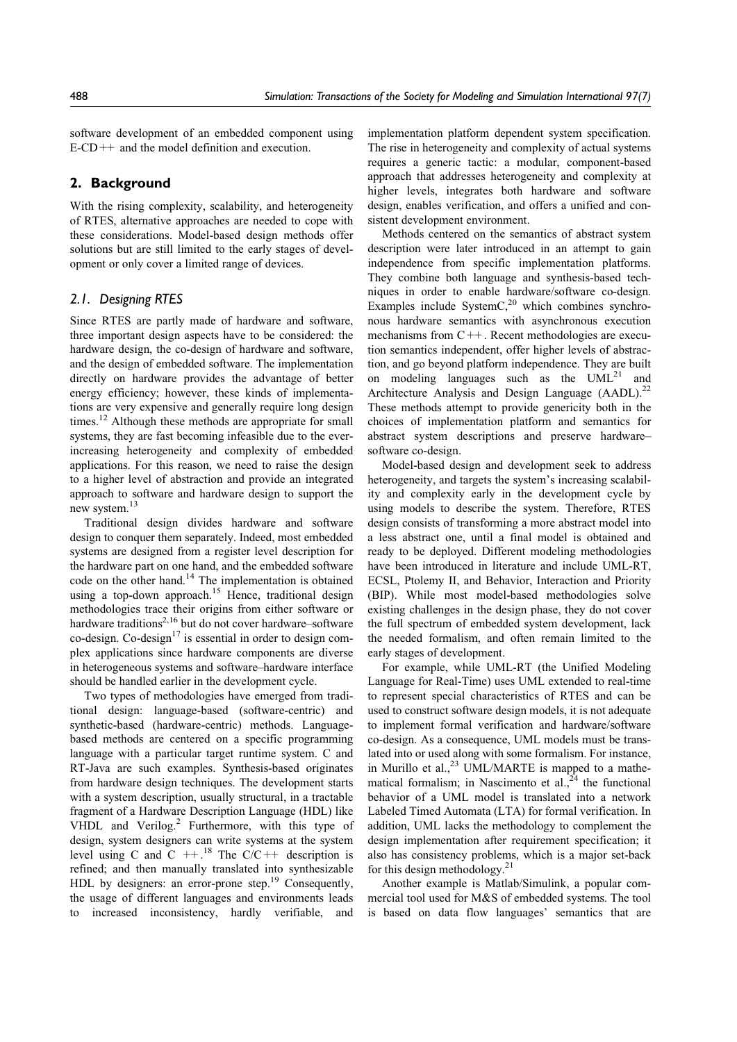software development of an embedded component using  $E-CD++$  and the model definition and execution.

# 2. Background

With the rising complexity, scalability, and heterogeneity of RTES, alternative approaches are needed to cope with these considerations. Model-based design methods offer solutions but are still limited to the early stages of development or only cover a limited range of devices.

# 2.1. Designing RTES

Since RTES are partly made of hardware and software, three important design aspects have to be considered: the hardware design, the co-design of hardware and software, and the design of embedded software. The implementation directly on hardware provides the advantage of better energy efficiency; however, these kinds of implementations are very expensive and generally require long design times.<sup>12</sup> Although these methods are appropriate for small systems, they are fast becoming infeasible due to the everincreasing heterogeneity and complexity of embedded applications. For this reason, we need to raise the design to a higher level of abstraction and provide an integrated approach to software and hardware design to support the new system.13

Traditional design divides hardware and software design to conquer them separately. Indeed, most embedded systems are designed from a register level description for the hardware part on one hand, and the embedded software code on the other hand.<sup>14</sup> The implementation is obtained using a top-down approach.<sup>15</sup> Hence, traditional design methodologies trace their origins from either software or hardware traditions<sup>2,16</sup> but do not cover hardware–software  $\cot$ -design. Co-design<sup>17</sup> is essential in order to design complex applications since hardware components are diverse in heterogeneous systems and software–hardware interface should be handled earlier in the development cycle.

Two types of methodologies have emerged from traditional design: language-based (software-centric) and synthetic-based (hardware-centric) methods. Languagebased methods are centered on a specific programming language with a particular target runtime system. C and RT-Java are such examples. Synthesis-based originates from hardware design techniques. The development starts with a system description, usually structural, in a tractable fragment of a Hardware Description Language (HDL) like VHDL and Verilog.<sup>2</sup> Furthermore, with this type of design, system designers can write systems at the system level using C and C  $++$ .<sup>18</sup> The C/C  $++$  description is refined; and then manually translated into synthesizable HDL by designers: an error-prone step.<sup>19</sup> Consequently, the usage of different languages and environments leads to increased inconsistency, hardly verifiable, and

implementation platform dependent system specification. The rise in heterogeneity and complexity of actual systems requires a generic tactic: a modular, component-based approach that addresses heterogeneity and complexity at higher levels, integrates both hardware and software design, enables verification, and offers a unified and consistent development environment.

Methods centered on the semantics of abstract system description were later introduced in an attempt to gain independence from specific implementation platforms. They combine both language and synthesis-based techniques in order to enable hardware/software co-design. Examples include System $C<sub>1</sub><sup>20</sup>$  which combines synchronous hardware semantics with asynchronous execution mechanisms from C++. Recent methodologies are execution semantics independent, offer higher levels of abstraction, and go beyond platform independence. They are built on modeling languages such as the  $UML^{21}$  and Architecture Analysis and Design Language  $(AADL)$ <sup>22</sup> These methods attempt to provide genericity both in the choices of implementation platform and semantics for abstract system descriptions and preserve hardware– software co-design.

Model-based design and development seek to address heterogeneity, and targets the system's increasing scalability and complexity early in the development cycle by using models to describe the system. Therefore, RTES design consists of transforming a more abstract model into a less abstract one, until a final model is obtained and ready to be deployed. Different modeling methodologies have been introduced in literature and include UML-RT, ECSL, Ptolemy II, and Behavior, Interaction and Priority (BIP). While most model-based methodologies solve existing challenges in the design phase, they do not cover the full spectrum of embedded system development, lack the needed formalism, and often remain limited to the early stages of development.

For example, while UML-RT (the Unified Modeling Language for Real-Time) uses UML extended to real-time to represent special characteristics of RTES and can be used to construct software design models, it is not adequate to implement formal verification and hardware/software co-design. As a consequence, UML models must be translated into or used along with some formalism. For instance, in Murillo et al.,<sup>23</sup> UML/MARTE is mapped to a mathematical formalism; in Nascimento et al., $24$  the functional behavior of a UML model is translated into a network Labeled Timed Automata (LTA) for formal verification. In addition, UML lacks the methodology to complement the design implementation after requirement specification; it also has consistency problems, which is a major set-back for this design methodology.<sup>21</sup>

Another example is Matlab/Simulink, a popular commercial tool used for M&S of embedded systems. The tool is based on data flow languages' semantics that are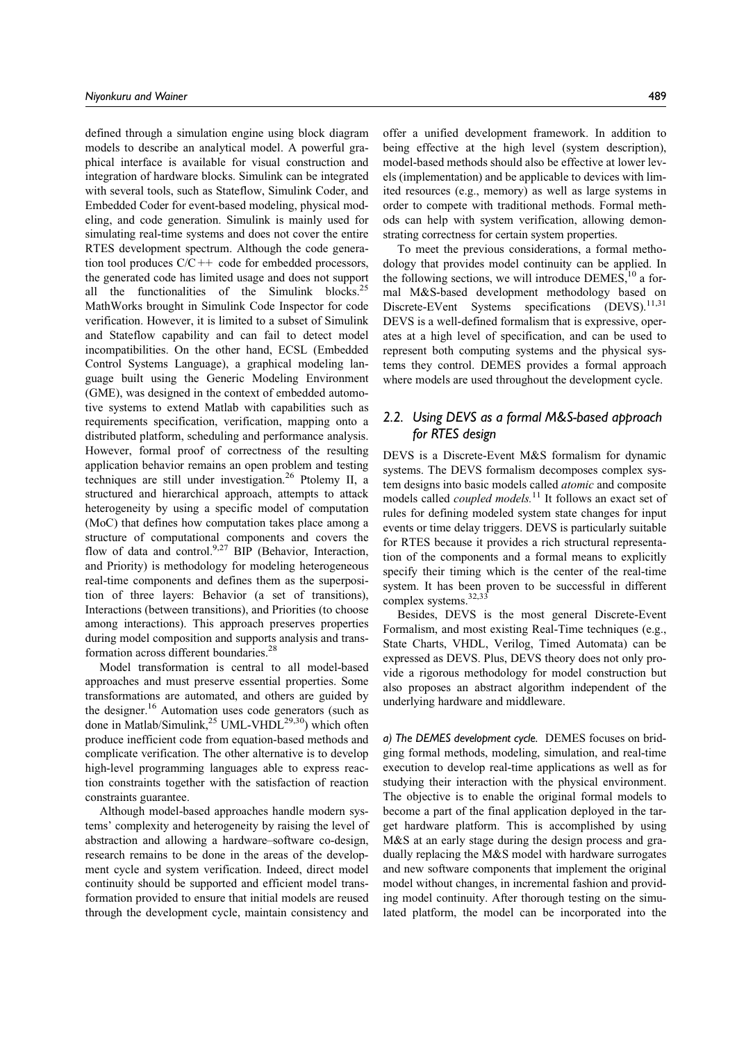defined through a simulation engine using block diagram models to describe an analytical model. A powerful graphical interface is available for visual construction and integration of hardware blocks. Simulink can be integrated with several tools, such as Stateflow, Simulink Coder, and Embedded Coder for event-based modeling, physical modeling, and code generation. Simulink is mainly used for simulating real-time systems and does not cover the entire RTES development spectrum. Although the code generation tool produces C/C++ code for embedded processors, the generated code has limited usage and does not support all the functionalities of the Simulink blocks.25 MathWorks brought in Simulink Code Inspector for code verification. However, it is limited to a subset of Simulink and Stateflow capability and can fail to detect model incompatibilities. On the other hand, ECSL (Embedded Control Systems Language), a graphical modeling language built using the Generic Modeling Environment (GME), was designed in the context of embedded automotive systems to extend Matlab with capabilities such as requirements specification, verification, mapping onto a distributed platform, scheduling and performance analysis. However, formal proof of correctness of the resulting application behavior remains an open problem and testing techniques are still under investigation.26 Ptolemy II, a structured and hierarchical approach, attempts to attack heterogeneity by using a specific model of computation (MoC) that defines how computation takes place among a structure of computational components and covers the flow of data and control.<sup>9,27</sup> BIP (Behavior, Interaction, and Priority) is methodology for modeling heterogeneous real-time components and defines them as the superposition of three layers: Behavior (a set of transitions), Interactions (between transitions), and Priorities (to choose among interactions). This approach preserves properties during model composition and supports analysis and transformation across different boundaries.<sup>28</sup>

Model transformation is central to all model-based approaches and must preserve essential properties. Some transformations are automated, and others are guided by the designer.<sup>16</sup> Automation uses code generators (such as done in Matlab/Simulink,<sup>25</sup> UML-VHDL<sup>29,30</sup>) which often produce inefficient code from equation-based methods and complicate verification. The other alternative is to develop high-level programming languages able to express reaction constraints together with the satisfaction of reaction constraints guarantee.

Although model-based approaches handle modern systems' complexity and heterogeneity by raising the level of abstraction and allowing a hardware–software co-design, research remains to be done in the areas of the development cycle and system verification. Indeed, direct model continuity should be supported and efficient model transformation provided to ensure that initial models are reused through the development cycle, maintain consistency and

offer a unified development framework. In addition to being effective at the high level (system description), model-based methods should also be effective at lower levels (implementation) and be applicable to devices with limited resources (e.g., memory) as well as large systems in order to compete with traditional methods. Formal methods can help with system verification, allowing demonstrating correctness for certain system properties.

To meet the previous considerations, a formal methodology that provides model continuity can be applied. In the following sections, we will introduce  $DEMES<sub>10</sub><sup>10</sup>$  a formal M&S-based development methodology based on Discrete-EVent Systems specifications  $(DEVS).$ <sup>11,31</sup> DEVS is a well-defined formalism that is expressive, operates at a high level of specification, and can be used to represent both computing systems and the physical systems they control. DEMES provides a formal approach where models are used throughout the development cycle.

# 2.2. Using DEVS as a formal M&S-based approach for RTES design

DEVS is a Discrete-Event M&S formalism for dynamic systems. The DEVS formalism decomposes complex system designs into basic models called atomic and composite models called *coupled models*.<sup>11</sup> It follows an exact set of rules for defining modeled system state changes for input events or time delay triggers. DEVS is particularly suitable for RTES because it provides a rich structural representation of the components and a formal means to explicitly specify their timing which is the center of the real-time system. It has been proven to be successful in different complex systems.<sup>32,33</sup>

Besides, DEVS is the most general Discrete-Event Formalism, and most existing Real-Time techniques (e.g., State Charts, VHDL, Verilog, Timed Automata) can be expressed as DEVS. Plus, DEVS theory does not only provide a rigorous methodology for model construction but also proposes an abstract algorithm independent of the underlying hardware and middleware.

a) The DEMES development cycle. DEMES focuses on bridging formal methods, modeling, simulation, and real-time execution to develop real-time applications as well as for studying their interaction with the physical environment. The objective is to enable the original formal models to become a part of the final application deployed in the target hardware platform. This is accomplished by using M&S at an early stage during the design process and gradually replacing the M&S model with hardware surrogates and new software components that implement the original model without changes, in incremental fashion and providing model continuity. After thorough testing on the simulated platform, the model can be incorporated into the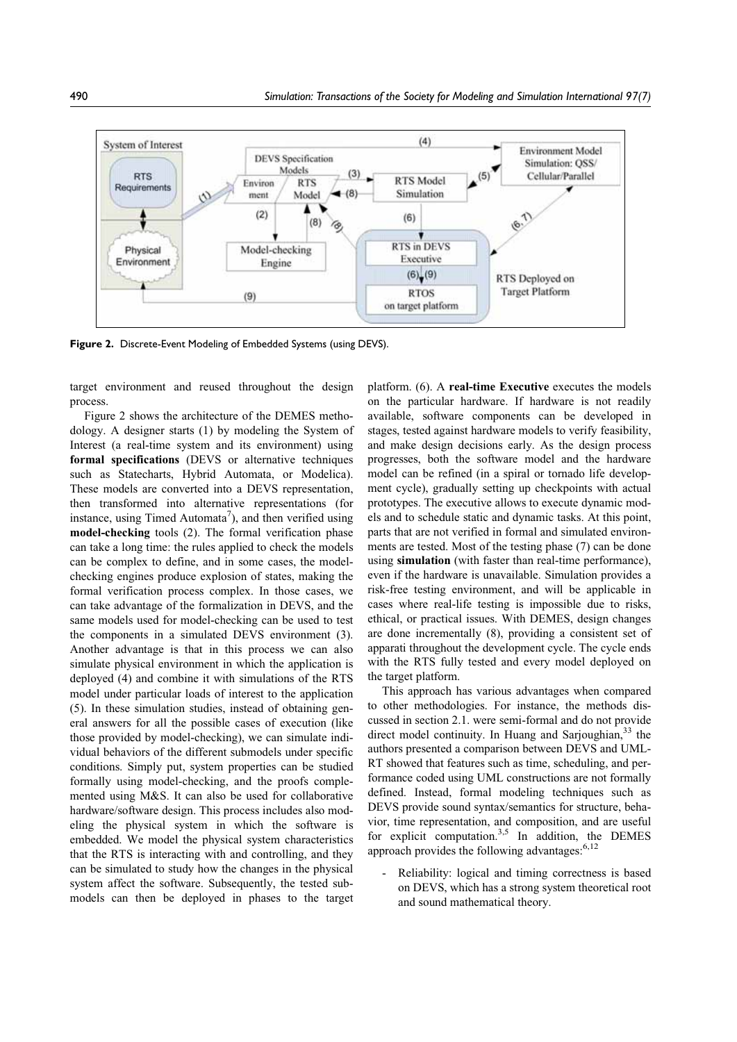

Figure 2. Discrete-Event Modeling of Embedded Systems (using DEVS).

target environment and reused throughout the design process.

Figure 2 shows the architecture of the DEMES methodology. A designer starts (1) by modeling the System of Interest (a real-time system and its environment) using formal specifications (DEVS or alternative techniques such as Statecharts, Hybrid Automata, or Modelica). These models are converted into a DEVS representation, then transformed into alternative representations (for instance, using Timed Automata<sup>7</sup>), and then verified using model-checking tools (2). The formal verification phase can take a long time: the rules applied to check the models can be complex to define, and in some cases, the modelchecking engines produce explosion of states, making the formal verification process complex. In those cases, we can take advantage of the formalization in DEVS, and the same models used for model-checking can be used to test the components in a simulated DEVS environment (3). Another advantage is that in this process we can also simulate physical environment in which the application is deployed (4) and combine it with simulations of the RTS model under particular loads of interest to the application (5). In these simulation studies, instead of obtaining general answers for all the possible cases of execution (like those provided by model-checking), we can simulate individual behaviors of the different submodels under specific conditions. Simply put, system properties can be studied formally using model-checking, and the proofs complemented using M&S. It can also be used for collaborative hardware/software design. This process includes also modeling the physical system in which the software is embedded. We model the physical system characteristics that the RTS is interacting with and controlling, and they can be simulated to study how the changes in the physical system affect the software. Subsequently, the tested submodels can then be deployed in phases to the target

platform. (6). A real-time Executive executes the models on the particular hardware. If hardware is not readily available, software components can be developed in stages, tested against hardware models to verify feasibility, and make design decisions early. As the design process progresses, both the software model and the hardware model can be refined (in a spiral or tornado life development cycle), gradually setting up checkpoints with actual prototypes. The executive allows to execute dynamic models and to schedule static and dynamic tasks. At this point, parts that are not verified in formal and simulated environments are tested. Most of the testing phase (7) can be done using simulation (with faster than real-time performance), even if the hardware is unavailable. Simulation provides a risk-free testing environment, and will be applicable in cases where real-life testing is impossible due to risks, ethical, or practical issues. With DEMES, design changes are done incrementally (8), providing a consistent set of apparati throughout the development cycle. The cycle ends with the RTS fully tested and every model deployed on the target platform.

This approach has various advantages when compared to other methodologies. For instance, the methods discussed in section 2.1. were semi-formal and do not provide direct model continuity. In Huang and Sarjoughian,<sup>33</sup> the authors presented a comparison between DEVS and UML-RT showed that features such as time, scheduling, and performance coded using UML constructions are not formally defined. Instead, formal modeling techniques such as DEVS provide sound syntax/semantics for structure, behavior, time representation, and composition, and are useful for explicit computation.<sup>3,5</sup> In addition, the DEMES approach provides the following advantages:<sup>6,12</sup>

Reliability: logical and timing correctness is based on DEVS, which has a strong system theoretical root and sound mathematical theory.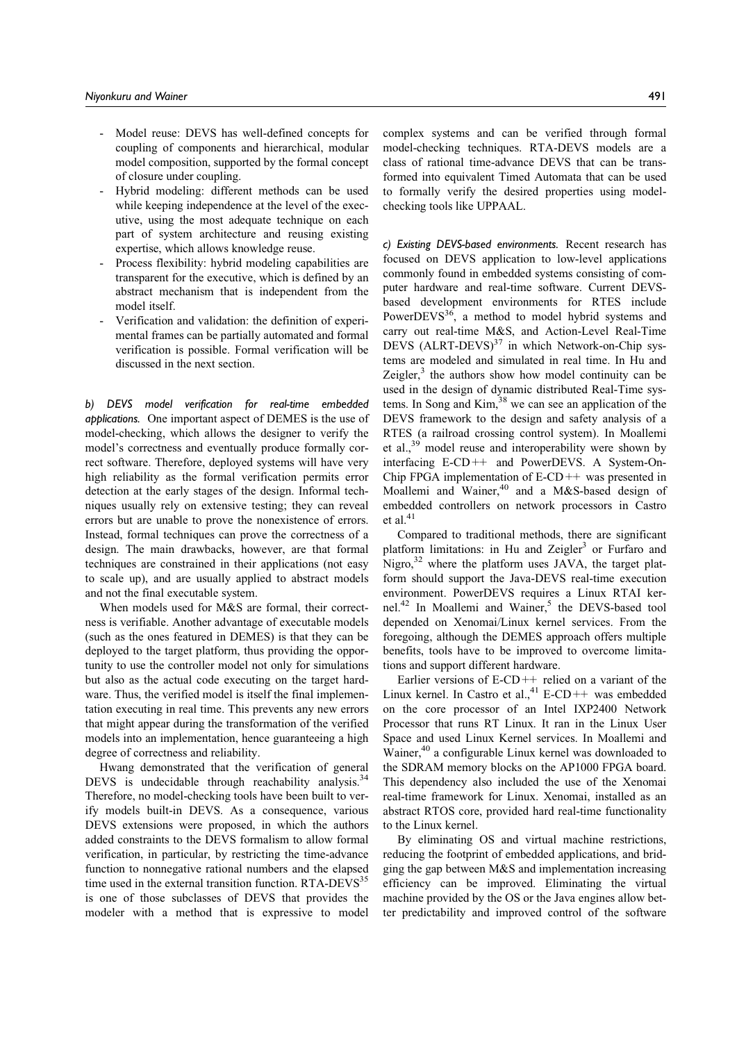- Model reuse: DEVS has well-defined concepts for coupling of components and hierarchical, modular model composition, supported by the formal concept of closure under coupling.
- Hybrid modeling: different methods can be used while keeping independence at the level of the executive, using the most adequate technique on each part of system architecture and reusing existing expertise, which allows knowledge reuse.
- Process flexibility: hybrid modeling capabilities are transparent for the executive, which is defined by an abstract mechanism that is independent from the model itself.
- Verification and validation: the definition of experimental frames can be partially automated and formal verification is possible. Formal verification will be discussed in the next section.

b) DEVS model verification for real-time embedded applications. One important aspect of DEMES is the use of model-checking, which allows the designer to verify the model's correctness and eventually produce formally correct software. Therefore, deployed systems will have very high reliability as the formal verification permits error detection at the early stages of the design. Informal techniques usually rely on extensive testing; they can reveal errors but are unable to prove the nonexistence of errors. Instead, formal techniques can prove the correctness of a design. The main drawbacks, however, are that formal techniques are constrained in their applications (not easy to scale up), and are usually applied to abstract models and not the final executable system.

When models used for M&S are formal, their correctness is verifiable. Another advantage of executable models (such as the ones featured in DEMES) is that they can be deployed to the target platform, thus providing the opportunity to use the controller model not only for simulations but also as the actual code executing on the target hardware. Thus, the verified model is itself the final implementation executing in real time. This prevents any new errors that might appear during the transformation of the verified models into an implementation, hence guaranteeing a high degree of correctness and reliability.

Hwang demonstrated that the verification of general DEVS is undecidable through reachability analysis.<sup>34</sup> Therefore, no model-checking tools have been built to verify models built-in DEVS. As a consequence, various DEVS extensions were proposed, in which the authors added constraints to the DEVS formalism to allow formal verification, in particular, by restricting the time-advance function to nonnegative rational numbers and the elapsed time used in the external transition function.  $RTA-DEVS<sup>35</sup>$ is one of those subclasses of DEVS that provides the modeler with a method that is expressive to model

complex systems and can be verified through formal model-checking techniques. RTA-DEVS models are a class of rational time-advance DEVS that can be transformed into equivalent Timed Automata that can be used to formally verify the desired properties using modelchecking tools like UPPAAL.

c) Existing DEVS-based environments. Recent research has focused on DEVS application to low-level applications commonly found in embedded systems consisting of computer hardware and real-time software. Current DEVSbased development environments for RTES include Power $DEVS<sup>36</sup>$ , a method to model hybrid systems and carry out real-time M&S, and Action-Level Real-Time DEVS  $(ALRT-DEVS)^{37}$  in which Network-on-Chip systems are modeled and simulated in real time. In Hu and Zeigler, $3$  the authors show how model continuity can be used in the design of dynamic distributed Real-Time systems. In Song and Kim,<sup>38</sup> we can see an application of the DEVS framework to the design and safety analysis of a RTES (a railroad crossing control system). In Moallemi et al.,39 model reuse and interoperability were shown by interfacing E-CD++ and PowerDEVS. A System-On-Chip FPGA implementation of  $E$ -CD++ was presented in Moallemi and Wainer,<sup>40</sup> and a M&S-based design of embedded controllers on network processors in Castro et al. $41$ 

Compared to traditional methods, there are significant platform limitations: in Hu and Zeigler<sup>3</sup> or Furfaro and Nigro, $32$  where the platform uses JAVA, the target platform should support the Java-DEVS real-time execution environment. PowerDEVS requires a Linux RTAI kernel.<sup>42</sup> In Moallemi and Wainer,<sup>5</sup> the DEVS-based tool depended on Xenomai/Linux kernel services. From the foregoing, although the DEMES approach offers multiple benefits, tools have to be improved to overcome limitations and support different hardware.

Earlier versions of  $E$ -CD++ relied on a variant of the Linux kernel. In Castro et al., $41$  E-CD++ was embedded on the core processor of an Intel IXP2400 Network Processor that runs RT Linux. It ran in the Linux User Space and used Linux Kernel services. In Moallemi and Wainer,<sup>40</sup> a configurable Linux kernel was downloaded to the SDRAM memory blocks on the AP1000 FPGA board. This dependency also included the use of the Xenomai real-time framework for Linux. Xenomai, installed as an abstract RTOS core, provided hard real-time functionality to the Linux kernel.

By eliminating OS and virtual machine restrictions, reducing the footprint of embedded applications, and bridging the gap between M&S and implementation increasing efficiency can be improved. Eliminating the virtual machine provided by the OS or the Java engines allow better predictability and improved control of the software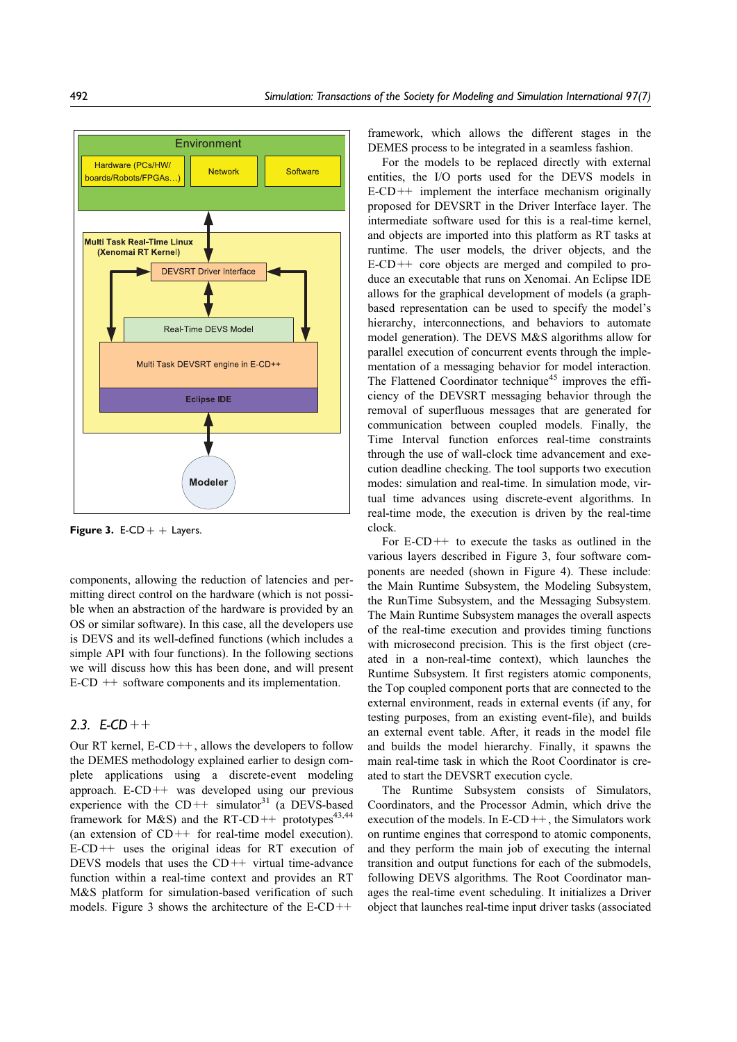

**Figure 3.** E-CD  $+$  + Layers.

components, allowing the reduction of latencies and permitting direct control on the hardware (which is not possible when an abstraction of the hardware is provided by an OS or similar software). In this case, all the developers use is DEVS and its well-defined functions (which includes a simple API with four functions). In the following sections we will discuss how this has been done, and will present E-CD ++ software components and its implementation.

# 2.3.  $E$ -CD + +

Our RT kernel,  $E$ -CD++, allows the developers to follow the DEMES methodology explained earlier to design complete applications using a discrete-event modeling approach. E-CD++ was developed using our previous experience with the  $CD++$  simulator<sup>31</sup> (a DEVS-based framework for M&S) and the RT-CD++ prototypes<sup>43,44</sup> (an extension of  $CD++$  for real-time model execution).  $E-CD++$  uses the original ideas for RT execution of DEVS models that uses the CD++ virtual time-advance function within a real-time context and provides an RT M&S platform for simulation-based verification of such models. Figure 3 shows the architecture of the  $E$ -CD++

framework, which allows the different stages in the DEMES process to be integrated in a seamless fashion.

For the models to be replaced directly with external entities, the I/O ports used for the DEVS models in  $E-CD++$  implement the interface mechanism originally proposed for DEVSRT in the Driver Interface layer. The intermediate software used for this is a real-time kernel, and objects are imported into this platform as RT tasks at runtime. The user models, the driver objects, and the E-CD++ core objects are merged and compiled to produce an executable that runs on Xenomai. An Eclipse IDE allows for the graphical development of models (a graphbased representation can be used to specify the model's hierarchy, interconnections, and behaviors to automate model generation). The DEVS M&S algorithms allow for parallel execution of concurrent events through the implementation of a messaging behavior for model interaction. The Flattened Coordinator technique<sup>45</sup> improves the efficiency of the DEVSRT messaging behavior through the removal of superfluous messages that are generated for communication between coupled models. Finally, the Time Interval function enforces real-time constraints through the use of wall-clock time advancement and execution deadline checking. The tool supports two execution modes: simulation and real-time. In simulation mode, virtual time advances using discrete-event algorithms. In real-time mode, the execution is driven by the real-time clock.

For  $E$ -CD<sup>++</sup> to execute the tasks as outlined in the various layers described in Figure 3, four software components are needed (shown in Figure 4). These include: the Main Runtime Subsystem, the Modeling Subsystem, the RunTime Subsystem, and the Messaging Subsystem. The Main Runtime Subsystem manages the overall aspects of the real-time execution and provides timing functions with microsecond precision. This is the first object (created in a non-real-time context), which launches the Runtime Subsystem. It first registers atomic components, the Top coupled component ports that are connected to the external environment, reads in external events (if any, for testing purposes, from an existing event-file), and builds an external event table. After, it reads in the model file and builds the model hierarchy. Finally, it spawns the main real-time task in which the Root Coordinator is created to start the DEVSRT execution cycle.

The Runtime Subsystem consists of Simulators, Coordinators, and the Processor Admin, which drive the execution of the models. In  $E$ -CD++, the Simulators work on runtime engines that correspond to atomic components, and they perform the main job of executing the internal transition and output functions for each of the submodels, following DEVS algorithms. The Root Coordinator manages the real-time event scheduling. It initializes a Driver object that launches real-time input driver tasks (associated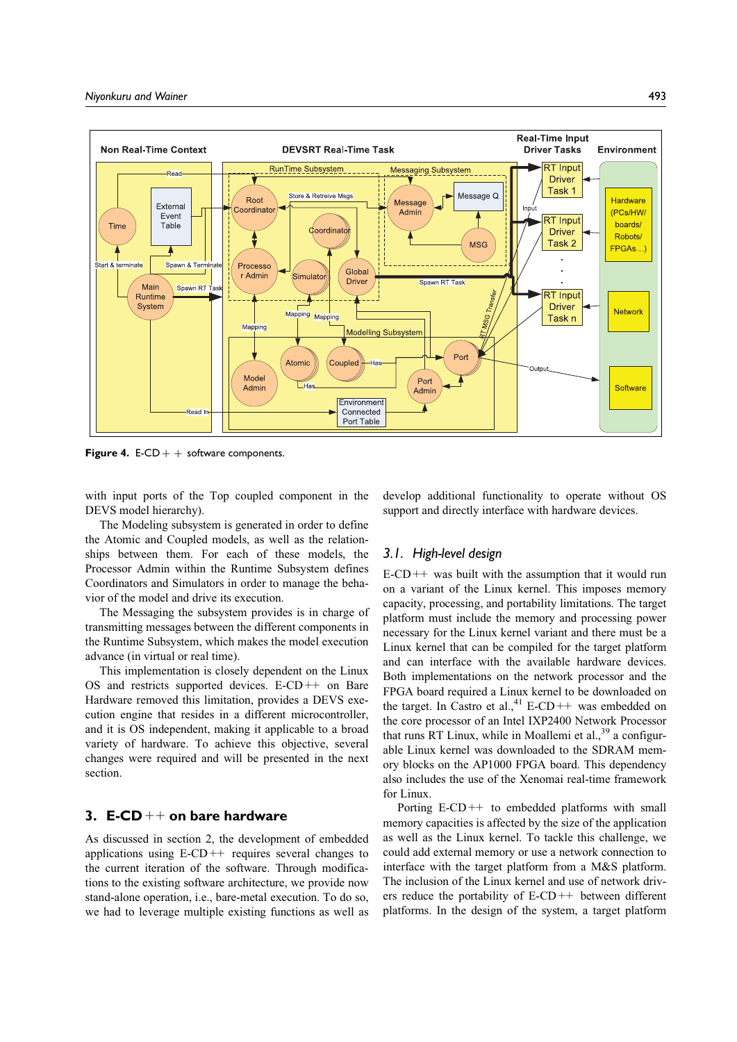

Figure 4.  $E\text{-CD}$  + + software components.

with input ports of the Top coupled component in the DEVS model hierarchy).

The Modeling subsystem is generated in order to define the Atomic and Coupled models, as well as the relationships between them. For each of these models, the Processor Admin within the Runtime Subsystem defines Coordinators and Simulators in order to manage the behavior of the model and drive its execution.

The Messaging the subsystem provides is in charge of transmitting messages between the different components in the Runtime Subsystem, which makes the model execution advance (in virtual or real time).

This implementation is closely dependent on the Linux OS and restricts supported devices.  $E$ -CD++ on Bare Hardware removed this limitation, provides a DEVS execution engine that resides in a different microcontroller, and it is OS independent, making it applicable to a broad variety of hardware. To achieve this objective, several changes were required and will be presented in the next section.

# 3.  $E\text{-}CD++$  on bare hardware

As discussed in section 2, the development of embedded applications using  $E$ -CD++ requires several changes to the current iteration of the software. Through modifications to the existing software architecture, we provide now stand-alone operation, i.e., bare-metal execution. To do so, we had to leverage multiple existing functions as well as develop additional functionality to operate without OS support and directly interface with hardware devices.

### 3.1. High-level design

 $E-CD++$  was built with the assumption that it would run on a variant of the Linux kernel. This imposes memory capacity, processing, and portability limitations. The target platform must include the memory and processing power necessary for the Linux kernel variant and there must be a Linux kernel that can be compiled for the target platform and can interface with the available hardware devices. Both implementations on the network processor and the FPGA board required a Linux kernel to be downloaded on the target. In Castro et al.,<sup>41</sup> E-CD++ was embedded on the core processor of an Intel IXP2400 Network Processor that runs RT Linux, while in Moallemi et al.,<sup>39</sup> a configurable Linux kernel was downloaded to the SDRAM memory blocks on the AP1000 FPGA board. This dependency also includes the use of the Xenomai real-time framework for Linux.

Porting  $E-CD++$  to embedded platforms with small memory capacities is affected by the size of the application as well as the Linux kernel. To tackle this challenge, we could add external memory or use a network connection to interface with the target platform from a M&S platform. The inclusion of the Linux kernel and use of network drivers reduce the portability of  $E$ -CD++ between different platforms. In the design of the system, a target platform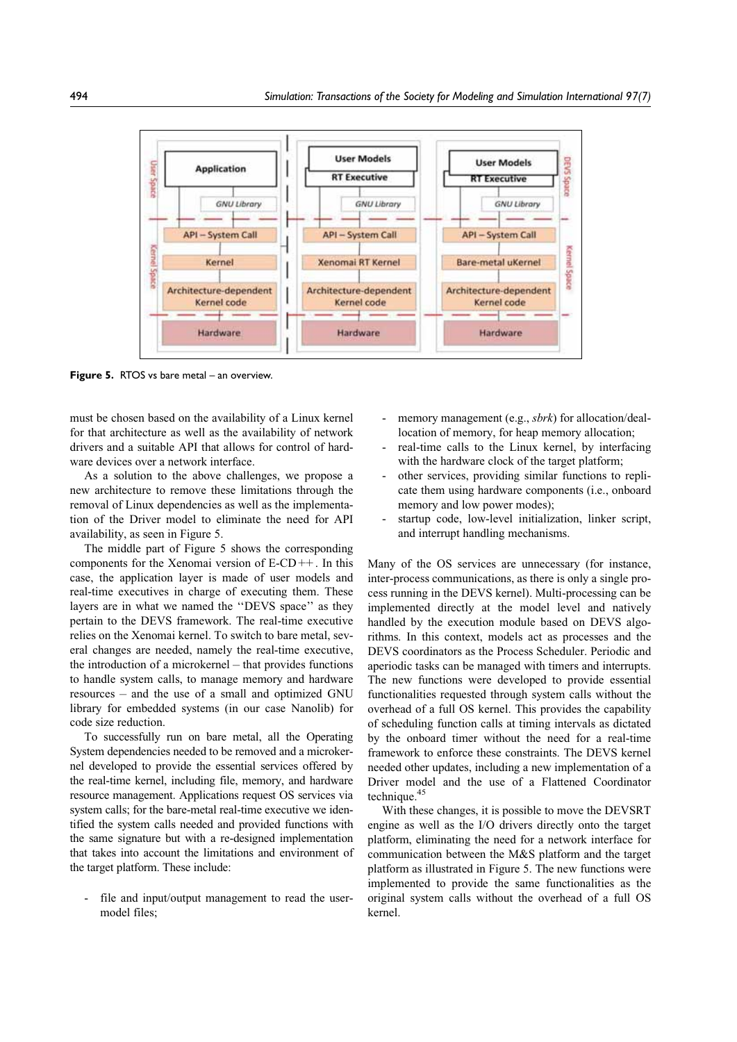

**Figure 5.** RTOS vs bare metal – an overview.

must be chosen based on the availability of a Linux kernel for that architecture as well as the availability of network drivers and a suitable API that allows for control of hardware devices over a network interface.

As a solution to the above challenges, we propose a new architecture to remove these limitations through the removal of Linux dependencies as well as the implementation of the Driver model to eliminate the need for API availability, as seen in Figure 5.

The middle part of Figure 5 shows the corresponding components for the Xenomai version of E-CD++. In this case, the application layer is made of user models and real-time executives in charge of executing them. These layers are in what we named the ''DEVS space'' as they pertain to the DEVS framework. The real-time executive relies on the Xenomai kernel. To switch to bare metal, several changes are needed, namely the real-time executive, the introduction of a microkernel – that provides functions to handle system calls, to manage memory and hardware resources – and the use of a small and optimized GNU library for embedded systems (in our case Nanolib) for code size reduction.

To successfully run on bare metal, all the Operating System dependencies needed to be removed and a microkernel developed to provide the essential services offered by the real-time kernel, including file, memory, and hardware resource management. Applications request OS services via system calls; for the bare-metal real-time executive we identified the system calls needed and provided functions with the same signature but with a re-designed implementation that takes into account the limitations and environment of the target platform. These include:

- file and input/output management to read the usermodel files;

- memory management (e.g., *sbrk*) for allocation/deallocation of memory, for heap memory allocation;
- real-time calls to the Linux kernel, by interfacing with the hardware clock of the target platform;
- other services, providing similar functions to replicate them using hardware components (i.e., onboard memory and low power modes);
- startup code, low-level initialization, linker script, and interrupt handling mechanisms.

Many of the OS services are unnecessary (for instance, inter-process communications, as there is only a single process running in the DEVS kernel). Multi-processing can be implemented directly at the model level and natively handled by the execution module based on DEVS algorithms. In this context, models act as processes and the DEVS coordinators as the Process Scheduler. Periodic and aperiodic tasks can be managed with timers and interrupts. The new functions were developed to provide essential functionalities requested through system calls without the overhead of a full OS kernel. This provides the capability of scheduling function calls at timing intervals as dictated by the onboard timer without the need for a real-time framework to enforce these constraints. The DEVS kernel needed other updates, including a new implementation of a Driver model and the use of a Flattened Coordinator technique.<sup>45</sup>

With these changes, it is possible to move the DEVSRT engine as well as the I/O drivers directly onto the target platform, eliminating the need for a network interface for communication between the M&S platform and the target platform as illustrated in Figure 5. The new functions were implemented to provide the same functionalities as the original system calls without the overhead of a full OS kernel.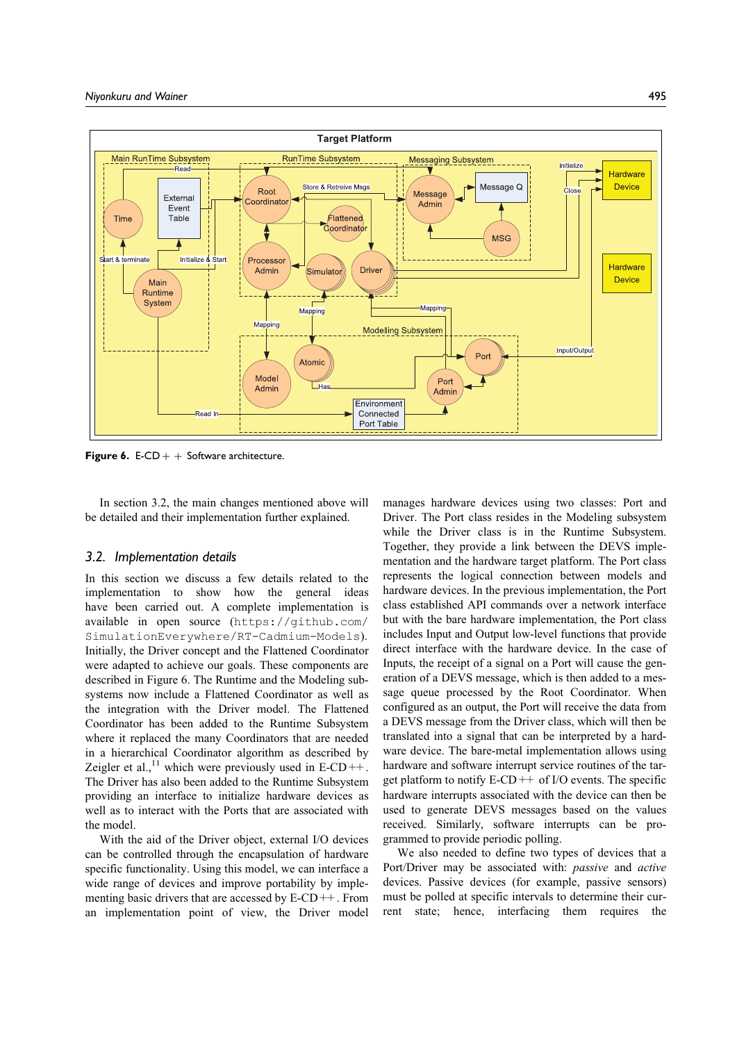

**Figure 6.** E-CD  $+$  + Software architecture.

In section 3.2, the main changes mentioned above will be detailed and their implementation further explained.

### 3.2. Implementation details

In this section we discuss a few details related to the implementation to show how the general ideas have been carried out. A complete implementation is available in open source (https://github.com/ SimulationEverywhere/RT-Cadmium-Models). Initially, the Driver concept and the Flattened Coordinator were adapted to achieve our goals. These components are described in Figure 6. The Runtime and the Modeling subsystems now include a Flattened Coordinator as well as the integration with the Driver model. The Flattened Coordinator has been added to the Runtime Subsystem where it replaced the many Coordinators that are needed in a hierarchical Coordinator algorithm as described by Zeigler et al.,<sup>11</sup> which were previously used in E-CD++. The Driver has also been added to the Runtime Subsystem providing an interface to initialize hardware devices as well as to interact with the Ports that are associated with the model.

With the aid of the Driver object, external I/O devices can be controlled through the encapsulation of hardware specific functionality. Using this model, we can interface a wide range of devices and improve portability by implementing basic drivers that are accessed by E-CD++. From an implementation point of view, the Driver model

manages hardware devices using two classes: Port and Driver. The Port class resides in the Modeling subsystem while the Driver class is in the Runtime Subsystem. Together, they provide a link between the DEVS implementation and the hardware target platform. The Port class represents the logical connection between models and hardware devices. In the previous implementation, the Port class established API commands over a network interface but with the bare hardware implementation, the Port class includes Input and Output low-level functions that provide direct interface with the hardware device. In the case of Inputs, the receipt of a signal on a Port will cause the generation of a DEVS message, which is then added to a message queue processed by the Root Coordinator. When configured as an output, the Port will receive the data from a DEVS message from the Driver class, which will then be translated into a signal that can be interpreted by a hardware device. The bare-metal implementation allows using hardware and software interrupt service routines of the target platform to notify  $E$ -CD++ of I/O events. The specific hardware interrupts associated with the device can then be used to generate DEVS messages based on the values received. Similarly, software interrupts can be programmed to provide periodic polling.

We also needed to define two types of devices that a Port/Driver may be associated with: passive and active devices. Passive devices (for example, passive sensors) must be polled at specific intervals to determine their current state; hence, interfacing them requires the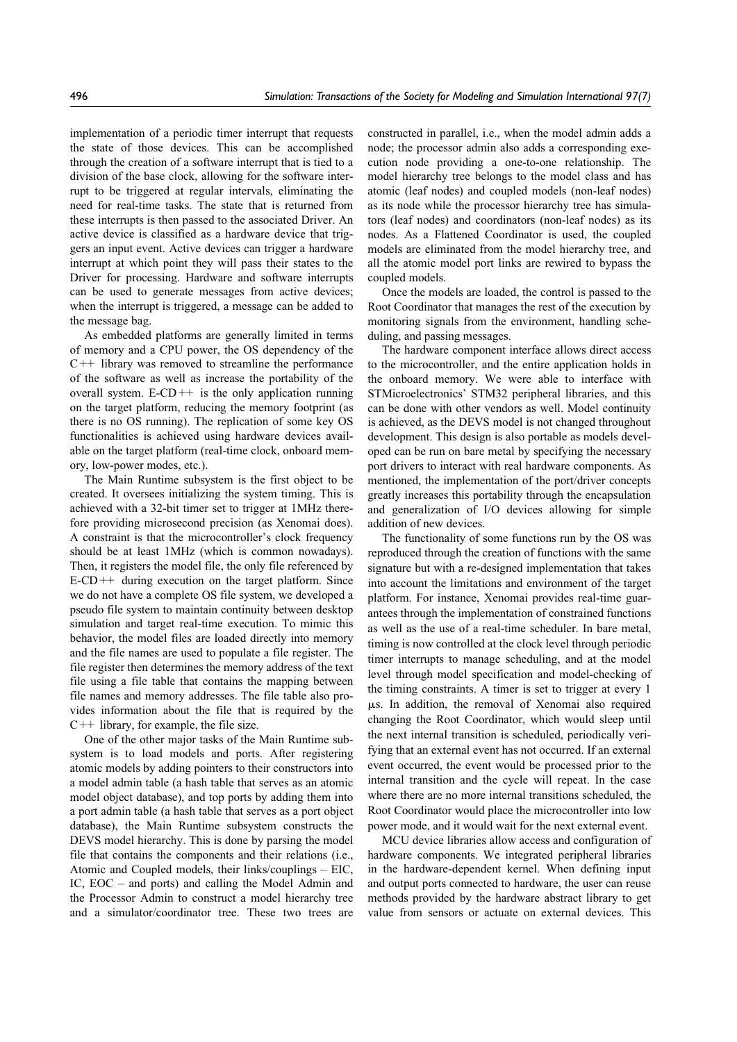implementation of a periodic timer interrupt that requests the state of those devices. This can be accomplished through the creation of a software interrupt that is tied to a division of the base clock, allowing for the software interrupt to be triggered at regular intervals, eliminating the need for real-time tasks. The state that is returned from these interrupts is then passed to the associated Driver. An active device is classified as a hardware device that triggers an input event. Active devices can trigger a hardware interrupt at which point they will pass their states to the Driver for processing. Hardware and software interrupts can be used to generate messages from active devices; when the interrupt is triggered, a message can be added to the message bag.

As embedded platforms are generally limited in terms of memory and a CPU power, the OS dependency of the  $C++$  library was removed to streamline the performance of the software as well as increase the portability of the overall system.  $E$ -CD++ is the only application running on the target platform, reducing the memory footprint (as there is no OS running). The replication of some key OS functionalities is achieved using hardware devices available on the target platform (real-time clock, onboard memory, low-power modes, etc.).

The Main Runtime subsystem is the first object to be created. It oversees initializing the system timing. This is achieved with a 32-bit timer set to trigger at 1MHz therefore providing microsecond precision (as Xenomai does). A constraint is that the microcontroller's clock frequency should be at least 1MHz (which is common nowadays). Then, it registers the model file, the only file referenced by  $E-CD++$  during execution on the target platform. Since we do not have a complete OS file system, we developed a pseudo file system to maintain continuity between desktop simulation and target real-time execution. To mimic this behavior, the model files are loaded directly into memory and the file names are used to populate a file register. The file register then determines the memory address of the text file using a file table that contains the mapping between file names and memory addresses. The file table also provides information about the file that is required by the  $C++$  library, for example, the file size.

One of the other major tasks of the Main Runtime subsystem is to load models and ports. After registering atomic models by adding pointers to their constructors into a model admin table (a hash table that serves as an atomic model object database), and top ports by adding them into a port admin table (a hash table that serves as a port object database), the Main Runtime subsystem constructs the DEVS model hierarchy. This is done by parsing the model file that contains the components and their relations (i.e., Atomic and Coupled models, their links/couplings – EIC, IC, EOC – and ports) and calling the Model Admin and the Processor Admin to construct a model hierarchy tree and a simulator/coordinator tree. These two trees are

constructed in parallel, i.e., when the model admin adds a node; the processor admin also adds a corresponding execution node providing a one-to-one relationship. The model hierarchy tree belongs to the model class and has atomic (leaf nodes) and coupled models (non-leaf nodes) as its node while the processor hierarchy tree has simulators (leaf nodes) and coordinators (non-leaf nodes) as its nodes. As a Flattened Coordinator is used, the coupled models are eliminated from the model hierarchy tree, and all the atomic model port links are rewired to bypass the coupled models.

Once the models are loaded, the control is passed to the Root Coordinator that manages the rest of the execution by monitoring signals from the environment, handling scheduling, and passing messages.

The hardware component interface allows direct access to the microcontroller, and the entire application holds in the onboard memory. We were able to interface with STMicroelectronics' STM32 peripheral libraries, and this can be done with other vendors as well. Model continuity is achieved, as the DEVS model is not changed throughout development. This design is also portable as models developed can be run on bare metal by specifying the necessary port drivers to interact with real hardware components. As mentioned, the implementation of the port/driver concepts greatly increases this portability through the encapsulation and generalization of I/O devices allowing for simple addition of new devices.

The functionality of some functions run by the OS was reproduced through the creation of functions with the same signature but with a re-designed implementation that takes into account the limitations and environment of the target platform. For instance, Xenomai provides real-time guarantees through the implementation of constrained functions as well as the use of a real-time scheduler. In bare metal, timing is now controlled at the clock level through periodic timer interrupts to manage scheduling, and at the model level through model specification and model-checking of the timing constraints. A timer is set to trigger at every 1  $\mu$ s. In addition, the removal of Xenomai also required changing the Root Coordinator, which would sleep until the next internal transition is scheduled, periodically verifying that an external event has not occurred. If an external event occurred, the event would be processed prior to the internal transition and the cycle will repeat. In the case where there are no more internal transitions scheduled, the Root Coordinator would place the microcontroller into low power mode, and it would wait for the next external event.

MCU device libraries allow access and configuration of hardware components. We integrated peripheral libraries in the hardware-dependent kernel. When defining input and output ports connected to hardware, the user can reuse methods provided by the hardware abstract library to get value from sensors or actuate on external devices. This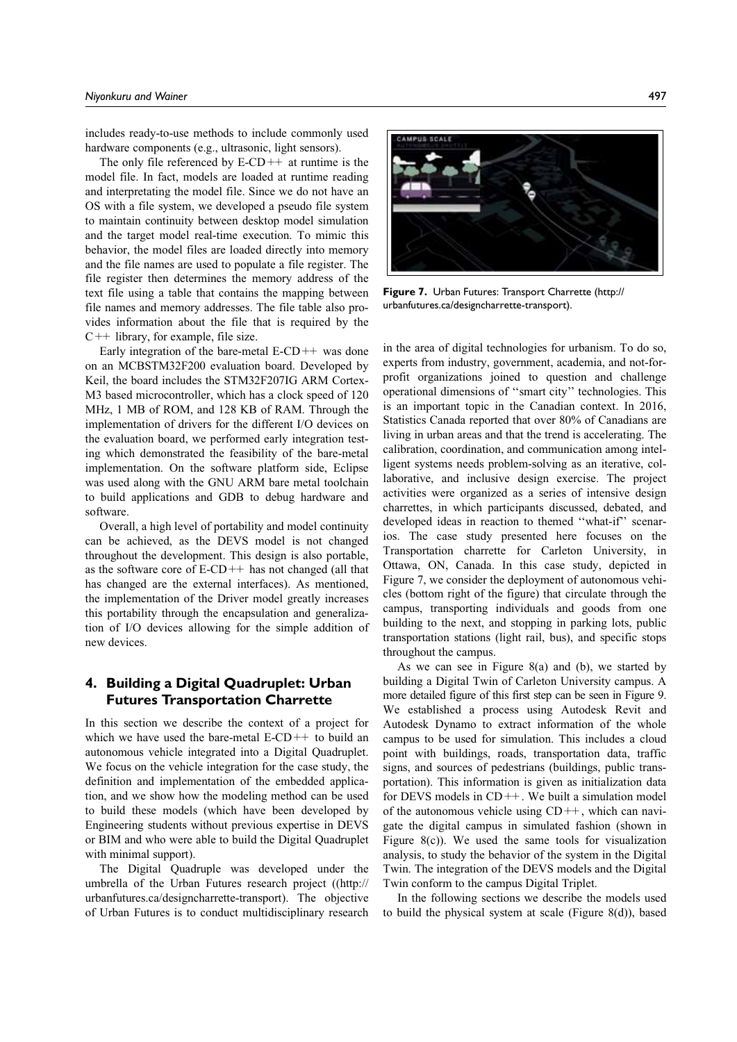includes ready-to-use methods to include commonly used hardware components (e.g., ultrasonic, light sensors).

The only file referenced by  $E$ -CD++ at runtime is the model file. In fact, models are loaded at runtime reading and interpretating the model file. Since we do not have an OS with a file system, we developed a pseudo file system to maintain continuity between desktop model simulation and the target model real-time execution. To mimic this behavior, the model files are loaded directly into memory and the file names are used to populate a file register. The file register then determines the memory address of the text file using a table that contains the mapping between file names and memory addresses. The file table also provides information about the file that is required by the  $C++$  library, for example, file size.

Early integration of the bare-metal  $E$ -CD++ was done on an MCBSTM32F200 evaluation board. Developed by Keil, the board includes the STM32F207IG ARM Cortex-M3 based microcontroller, which has a clock speed of 120 MHz, 1 MB of ROM, and 128 KB of RAM. Through the implementation of drivers for the different I/O devices on the evaluation board, we performed early integration testing which demonstrated the feasibility of the bare-metal implementation. On the software platform side, Eclipse was used along with the GNU ARM bare metal toolchain to build applications and GDB to debug hardware and software.

Overall, a high level of portability and model continuity can be achieved, as the DEVS model is not changed throughout the development. This design is also portable, as the software core of  $E$ -CD++ has not changed (all that has changed are the external interfaces). As mentioned, the implementation of the Driver model greatly increases this portability through the encapsulation and generalization of I/O devices allowing for the simple addition of new devices.

# 4. Building a Digital Quadruplet: Urban Futures Transportation Charrette

In this section we describe the context of a project for which we have used the bare-metal E-CD++ to build an autonomous vehicle integrated into a Digital Quadruplet. We focus on the vehicle integration for the case study, the definition and implementation of the embedded application, and we show how the modeling method can be used to build these models (which have been developed by Engineering students without previous expertise in DEVS or BIM and who were able to build the Digital Quadruplet with minimal support).

The Digital Quadruple was developed under the umbrella of the Urban Futures research project ((http:// urbanfutures.ca/designcharrette-transport). The objective of Urban Futures is to conduct multidisciplinary research



Figure 7. Urban Futures: Transport Charrette (http:// urbanfutures.ca/designcharrette-transport).

in the area of digital technologies for urbanism. To do so, experts from industry, government, academia, and not-forprofit organizations joined to question and challenge operational dimensions of ''smart city'' technologies. This is an important topic in the Canadian context. In 2016, Statistics Canada reported that over 80% of Canadians are living in urban areas and that the trend is accelerating. The calibration, coordination, and communication among intelligent systems needs problem-solving as an iterative, collaborative, and inclusive design exercise. The project activities were organized as a series of intensive design charrettes, in which participants discussed, debated, and developed ideas in reaction to themed ''what-if'' scenarios. The case study presented here focuses on the Transportation charrette for Carleton University, in Ottawa, ON, Canada. In this case study, depicted in Figure 7, we consider the deployment of autonomous vehicles (bottom right of the figure) that circulate through the campus, transporting individuals and goods from one building to the next, and stopping in parking lots, public transportation stations (light rail, bus), and specific stops throughout the campus.

As we can see in Figure 8(a) and (b), we started by building a Digital Twin of Carleton University campus. A more detailed figure of this first step can be seen in Figure 9. We established a process using Autodesk Revit and Autodesk Dynamo to extract information of the whole campus to be used for simulation. This includes a cloud point with buildings, roads, transportation data, traffic signs, and sources of pedestrians (buildings, public transportation). This information is given as initialization data for DEVS models in CD++. We built a simulation model of the autonomous vehicle using  $CD++$ , which can navigate the digital campus in simulated fashion (shown in Figure 8(c)). We used the same tools for visualization analysis, to study the behavior of the system in the Digital Twin. The integration of the DEVS models and the Digital Twin conform to the campus Digital Triplet.

In the following sections we describe the models used to build the physical system at scale (Figure 8(d)), based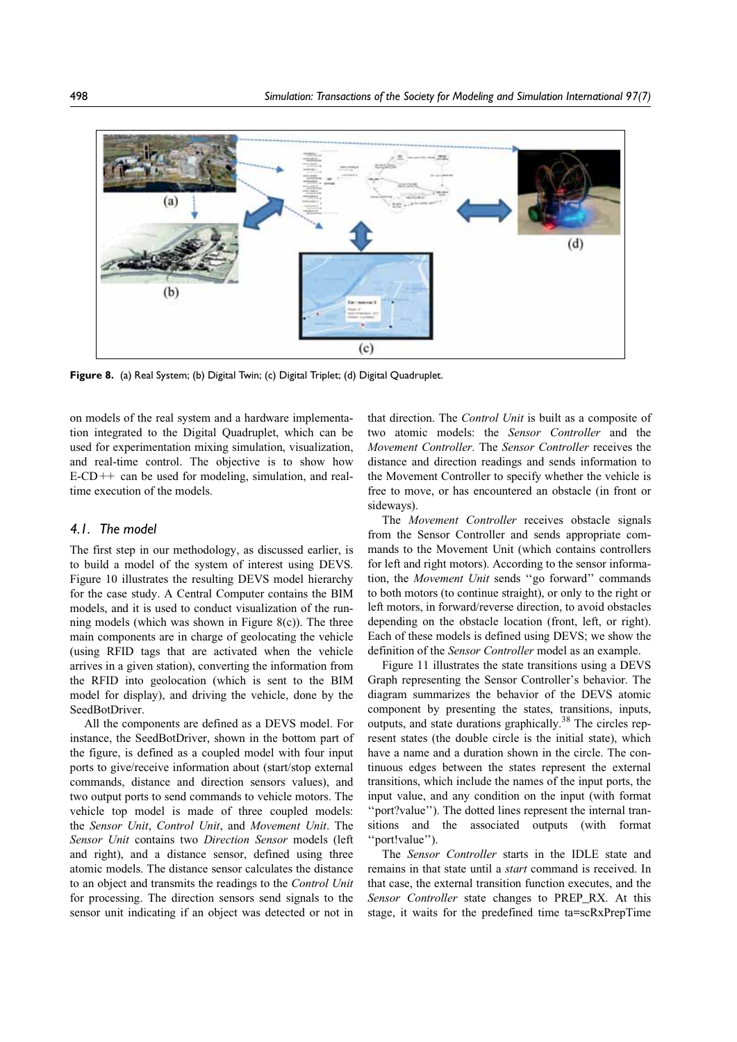

Figure 8. (a) Real System; (b) Digital Twin; (c) Digital Triplet; (d) Digital Quadruplet.

on models of the real system and a hardware implementation integrated to the Digital Quadruplet, which can be used for experimentation mixing simulation, visualization, and real-time control. The objective is to show how  $E-CD++$  can be used for modeling, simulation, and realtime execution of the models.

### 4.1. The model

The first step in our methodology, as discussed earlier, is to build a model of the system of interest using DEVS. Figure 10 illustrates the resulting DEVS model hierarchy for the case study. A Central Computer contains the BIM models, and it is used to conduct visualization of the running models (which was shown in Figure  $8(c)$ ). The three main components are in charge of geolocating the vehicle (using RFID tags that are activated when the vehicle arrives in a given station), converting the information from the RFID into geolocation (which is sent to the BIM model for display), and driving the vehicle, done by the SeedBotDriver.

All the components are defined as a DEVS model. For instance, the SeedBotDriver, shown in the bottom part of the figure, is defined as a coupled model with four input ports to give/receive information about (start/stop external commands, distance and direction sensors values), and two output ports to send commands to vehicle motors. The vehicle top model is made of three coupled models: the Sensor Unit, Control Unit, and Movement Unit. The Sensor Unit contains two Direction Sensor models (left and right), and a distance sensor, defined using three atomic models. The distance sensor calculates the distance to an object and transmits the readings to the Control Unit for processing. The direction sensors send signals to the sensor unit indicating if an object was detected or not in that direction. The Control Unit is built as a composite of two atomic models: the Sensor Controller and the Movement Controller. The Sensor Controller receives the distance and direction readings and sends information to the Movement Controller to specify whether the vehicle is free to move, or has encountered an obstacle (in front or sideways).

The Movement Controller receives obstacle signals from the Sensor Controller and sends appropriate commands to the Movement Unit (which contains controllers for left and right motors). According to the sensor information, the Movement Unit sends ''go forward'' commands to both motors (to continue straight), or only to the right or left motors, in forward/reverse direction, to avoid obstacles depending on the obstacle location (front, left, or right). Each of these models is defined using DEVS; we show the definition of the Sensor Controller model as an example.

Figure 11 illustrates the state transitions using a DEVS Graph representing the Sensor Controller's behavior. The diagram summarizes the behavior of the DEVS atomic component by presenting the states, transitions, inputs, outputs, and state durations graphically.38 The circles represent states (the double circle is the initial state), which have a name and a duration shown in the circle. The continuous edges between the states represent the external transitions, which include the names of the input ports, the input value, and any condition on the input (with format ''port?value''). The dotted lines represent the internal transitions and the associated outputs (with format ''port!value'').

The Sensor Controller starts in the IDLE state and remains in that state until a *start* command is received. In that case, the external transition function executes, and the Sensor Controller state changes to PREP\_RX. At this stage, it waits for the predefined time ta=scRxPrepTime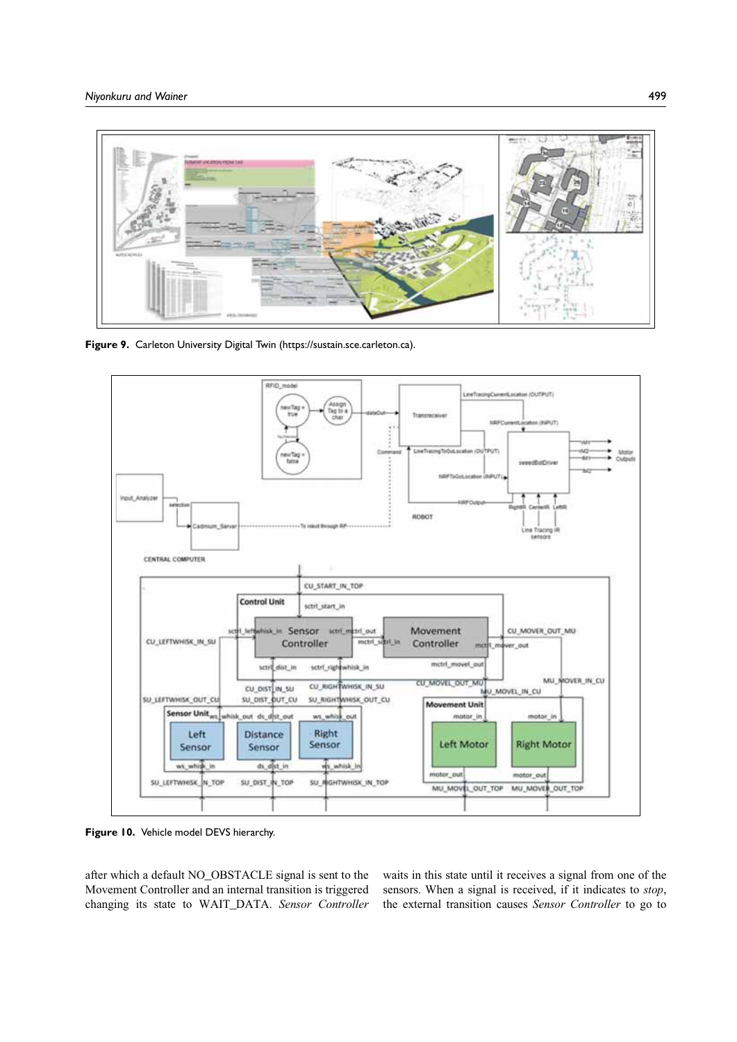

Figure 9. Carleton University Digital Twin (https://sustain.sce.carleton.ca).



Figure 10. Vehicle model DEVS hierarchy.

after which a default NO\_OBSTACLE signal is sent to the Movement Controller and an internal transition is triggered changing its state to WAIT\_DATA. Sensor Controller waits in this state until it receives a signal from one of the sensors. When a signal is received, if it indicates to stop, the external transition causes Sensor Controller to go to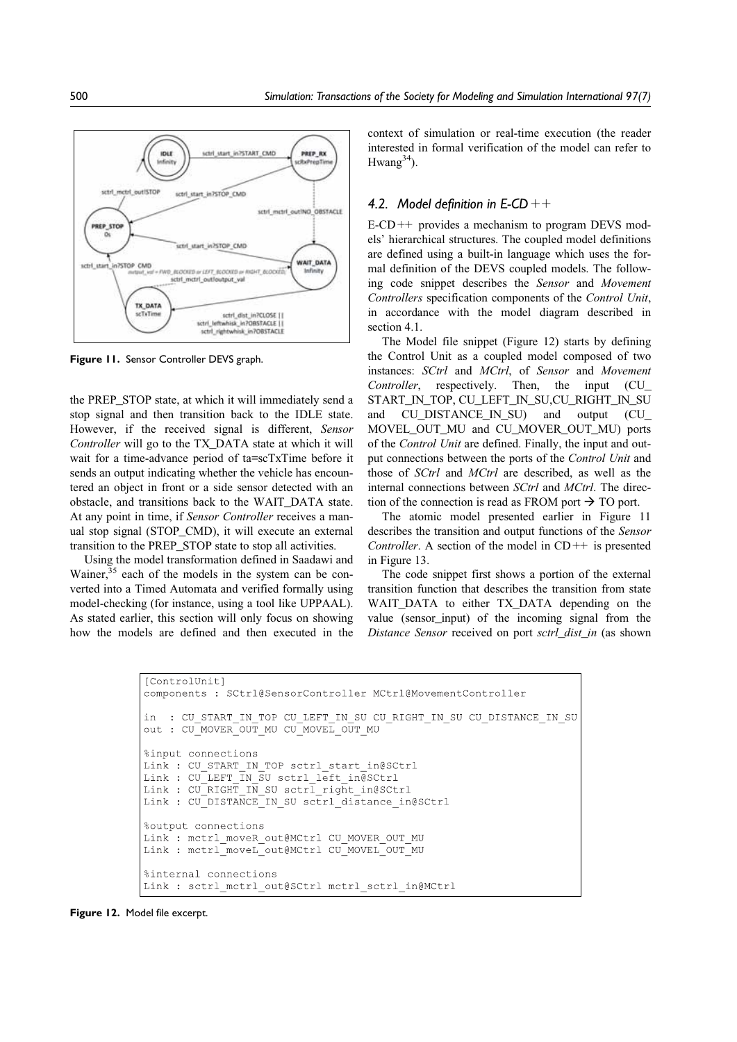

Figure 11. Sensor Controller DEVS graph.

the PREP\_STOP state, at which it will immediately send a stop signal and then transition back to the IDLE state. However, if the received signal is different, Sensor Controller will go to the TX\_DATA state at which it will wait for a time-advance period of ta=scTxTime before it sends an output indicating whether the vehicle has encountered an object in front or a side sensor detected with an obstacle, and transitions back to the WAIT\_DATA state. At any point in time, if Sensor Controller receives a manual stop signal (STOP\_CMD), it will execute an external transition to the PREP\_STOP state to stop all activities.

Using the model transformation defined in Saadawi and Wainer,  $35$  each of the models in the system can be converted into a Timed Automata and verified formally using model-checking (for instance, using a tool like UPPAAL). As stated earlier, this section will only focus on showing how the models are defined and then executed in the

context of simulation or real-time execution (the reader interested in formal verification of the model can refer to Hwang $34$ ).

### 4.2. Model definition in  $E$ -CD  $++$

 $E-CD++$  provides a mechanism to program DEVS models' hierarchical structures. The coupled model definitions are defined using a built-in language which uses the formal definition of the DEVS coupled models. The following code snippet describes the Sensor and Movement Controllers specification components of the Control Unit, in accordance with the model diagram described in section 4.1.

The Model file snippet (Figure 12) starts by defining the Control Unit as a coupled model composed of two instances: SCtrl and MCtrl, of Sensor and Movement Controller, respectively. Then, the input (CU\_ START\_IN\_TOP, CU\_LEFT\_IN\_SU,CU\_RIGHT\_IN\_SU and CU\_DISTANCE\_IN\_SU) and output (CU\_ MOVEL\_OUT\_MU and CU\_MOVER\_OUT\_MU) ports of the Control Unit are defined. Finally, the input and output connections between the ports of the Control Unit and those of SCtrl and MCtrl are described, as well as the internal connections between *SCtrl* and *MCtrl*. The direction of the connection is read as FROM port  $\rightarrow$  TO port.

The atomic model presented earlier in Figure 11 describes the transition and output functions of the Sensor Controller. A section of the model in  $CD++$  is presented in Figure 13.

The code snippet first shows a portion of the external transition function that describes the transition from state WAIT DATA to either TX DATA depending on the value (sensor\_input) of the incoming signal from the Distance Sensor received on port sctrl dist in (as shown

```
[ControlUnit]
components : SCtrl@SensorController MCtrl@MovementController
in : CU START IN TOP CU LEFT IN SU CU RIGHT IN SU CU DISTANCE IN SU
out : CU MOVER OUT MU CU MOVEL OUT MU
%input connections
Link : CU_START_IN_TOP sctrl_start_in@SCtrl
Link : CU LEFT IN SU sctrl left in@SCtrl
Link : CU RIGHT IN SU sctrl right in@SCtrl
Link : CU DISTANCE IN SU sctrl distance in@SCtrl
%output connections
Link: mctrl moveR out@MCtrl CU MOVER OUT MU
Link : mctrl moveL out@MCtrl CU MOVEL OUT MU
%internal connections
Link : sctrl mctrl out@SCtrl mctrl sctrl in@MCtrl
```
Figure 12. Model file excerpt.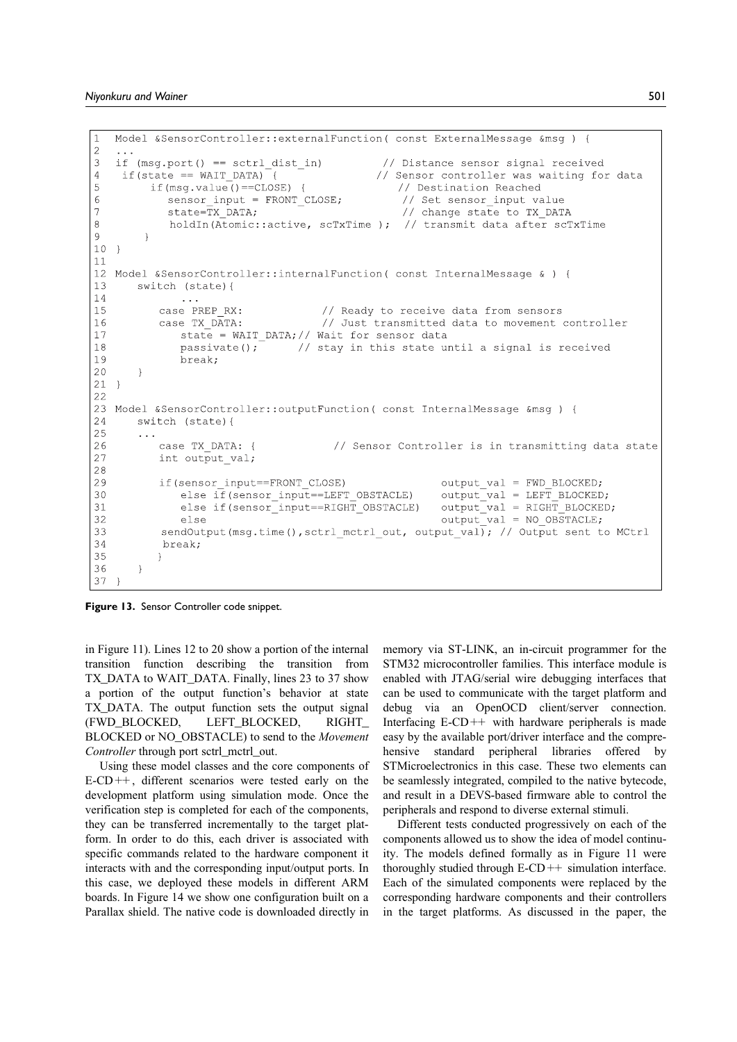```
\mathbf{1}Model &SensorController::externalFunction(const ExternalMessage &msg) {
\overline{2}3
   if (msg.port() == sctrl dist in)// Distance sensor signal received
\overline{4}if (state == WAIT DATA) {
                                                 // Sensor controller was waiting for data
5
         if (msq.value() == CLOSE) {
                                                    // Destination Reached
6\overline{6}sensor_input = FRONT_CLOSE;
                                                     // Set sensor input value
\overline{7}state=\overline{\text{TX}} DATA;
                                                     // change state to TX DATA
\overline{8}holdIn(Atomic::active, scTxTime); // transmit data after scTxTime
\overline{9}\overline{\phantom{a}}10 }
1112 Model &SensorController::internalFunction(const InternalMessage & ) {
13
       switch (state) {
14
           case PREP RX:
1.5
                                       // Ready to receive data from sensors
16
           case TX DATA:
                                       // Just transmitted data to movement controller
              state = WAIT_DATA; // Wait for sensor data1718
              passivate();
                                  // stay in this state until a signal is received
19
              break;
20\rightarrow21 }
22
23 Model &SensorController::outputFunction( const InternalMessage &msg ) {
24
       switch (state) {
25
26
           case TX DATA: {
                                         // Sensor Controller is in transmitting data state
27
           int output val;
2829
           if (sensor input==FRONT CLOSE)
                                                            output val = FWD BLOCKED;
              else if (sensor_input==LEFT_OBSTACLE)
30output val = LEFT BLOCKED;
              else if(sensor_input==RIGHT_OBSTACLE)
31output\_val = RIGHT_BLOCKED;32
                                                            output val = NO OBSTACLE;
              else
           sendOutput (msg.time (), sctrl_mctrl_out, output_val); // Output sent to MCtrl
33
34
           break;
35
           -1
36
       -1
37
```
Figure 13. Sensor Controller code snippet.

in Figure 11). Lines 12 to 20 show a portion of the internal transition function describing the transition from TX\_DATA to WAIT\_DATA. Finally, lines 23 to 37 show a portion of the output function's behavior at state TX\_DATA. The output function sets the output signal (FWD\_BLOCKED, LEFT\_BLOCKED, RIGHT\_ BLOCKED or NO\_OBSTACLE) to send to the Movement Controller through port sctrl\_mctrl\_out.

Using these model classes and the core components of E-CD++, different scenarios were tested early on the development platform using simulation mode. Once the verification step is completed for each of the components, they can be transferred incrementally to the target platform. In order to do this, each driver is associated with specific commands related to the hardware component it interacts with and the corresponding input/output ports. In this case, we deployed these models in different ARM boards. In Figure 14 we show one configuration built on a Parallax shield. The native code is downloaded directly in

memory via ST-LINK, an in-circuit programmer for the STM32 microcontroller families. This interface module is enabled with JTAG/serial wire debugging interfaces that can be used to communicate with the target platform and debug via an OpenOCD client/server connection. Interfacing  $E$ -CD++ with hardware peripherals is made easy by the available port/driver interface and the comprehensive standard peripheral libraries offered by STMicroelectronics in this case. These two elements can be seamlessly integrated, compiled to the native bytecode, and result in a DEVS-based firmware able to control the peripherals and respond to diverse external stimuli.

Different tests conducted progressively on each of the components allowed us to show the idea of model continuity. The models defined formally as in Figure 11 were thoroughly studied through  $E$ -CD++ simulation interface. Each of the simulated components were replaced by the corresponding hardware components and their controllers in the target platforms. As discussed in the paper, the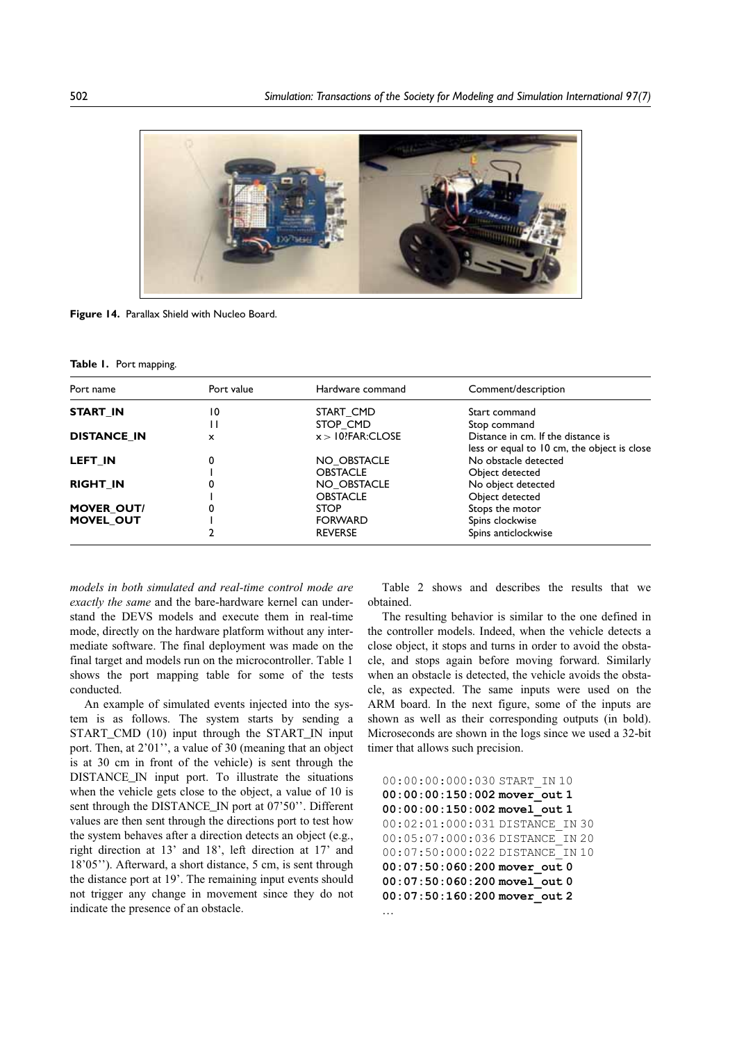

Figure 14. Parallax Shield with Nucleo Board.

#### Table 1. Port mapping.

| Port name          | Port value | Hardware command               | Comment/description                                                               |  |
|--------------------|------------|--------------------------------|-----------------------------------------------------------------------------------|--|
| START IN           | 10         | START CMD                      | Start command                                                                     |  |
|                    | П          | STOP CMD                       | Stop command                                                                      |  |
| <b>DISTANCE IN</b> | x          | $x > 10?$ FAR:CLOSE            | Distance in cm. If the distance is<br>less or equal to 10 cm, the object is close |  |
| <b>LEFT IN</b>     | 0          | NO OBSTACLE<br><b>OBSTACLE</b> | No obstacle detected<br>Object detected                                           |  |
| <b>RIGHT_IN</b>    |            | NO OBSTACLE                    | No object detected                                                                |  |
| <b>MOVER OUT/</b>  |            | <b>OBSTACLE</b><br><b>STOP</b> | Object detected<br>Stops the motor                                                |  |
| <b>MOVEL OUT</b>   |            | <b>FORWARD</b>                 | Spins clockwise                                                                   |  |
|                    |            | <b>REVERSE</b>                 | Spins anticlockwise                                                               |  |

models in both simulated and real-time control mode are exactly the same and the bare-hardware kernel can understand the DEVS models and execute them in real-time mode, directly on the hardware platform without any intermediate software. The final deployment was made on the final target and models run on the microcontroller. Table 1 shows the port mapping table for some of the tests conducted.

An example of simulated events injected into the system is as follows. The system starts by sending a START\_CMD (10) input through the START\_IN input port. Then, at 2'01'', a value of 30 (meaning that an object is at 30 cm in front of the vehicle) is sent through the DISTANCE\_IN input port. To illustrate the situations when the vehicle gets close to the object, a value of 10 is sent through the DISTANCE\_IN port at 07'50". Different values are then sent through the directions port to test how the system behaves after a direction detects an object (e.g., right direction at 13' and 18', left direction at 17' and 18'05''). Afterward, a short distance, 5 cm, is sent through the distance port at 19'. The remaining input events should not trigger any change in movement since they do not indicate the presence of an obstacle.

Table 2 shows and describes the results that we obtained.

The resulting behavior is similar to the one defined in the controller models. Indeed, when the vehicle detects a close object, it stops and turns in order to avoid the obstacle, and stops again before moving forward. Similarly when an obstacle is detected, the vehicle avoids the obstacle, as expected. The same inputs were used on the ARM board. In the next figure, some of the inputs are shown as well as their corresponding outputs (in bold). Microseconds are shown in the logs since we used a 32-bit timer that allows such precision.

00:00:00:000:030 START\_IN 10 00:00:00:150:002 mover\_out 1 00:00:00:150:002 movel out 1 00:02:01:000:031 DISTANCE\_IN 30 00:05:07:000:036 DISTANCE\_IN 20 00:07:50:000:022 DISTANCE\_IN 10 00:07:50:060:200 mover\_out 0 00:07:50:060:200 movel\_out 0 00:07:50:160:200 mover\_out 2 .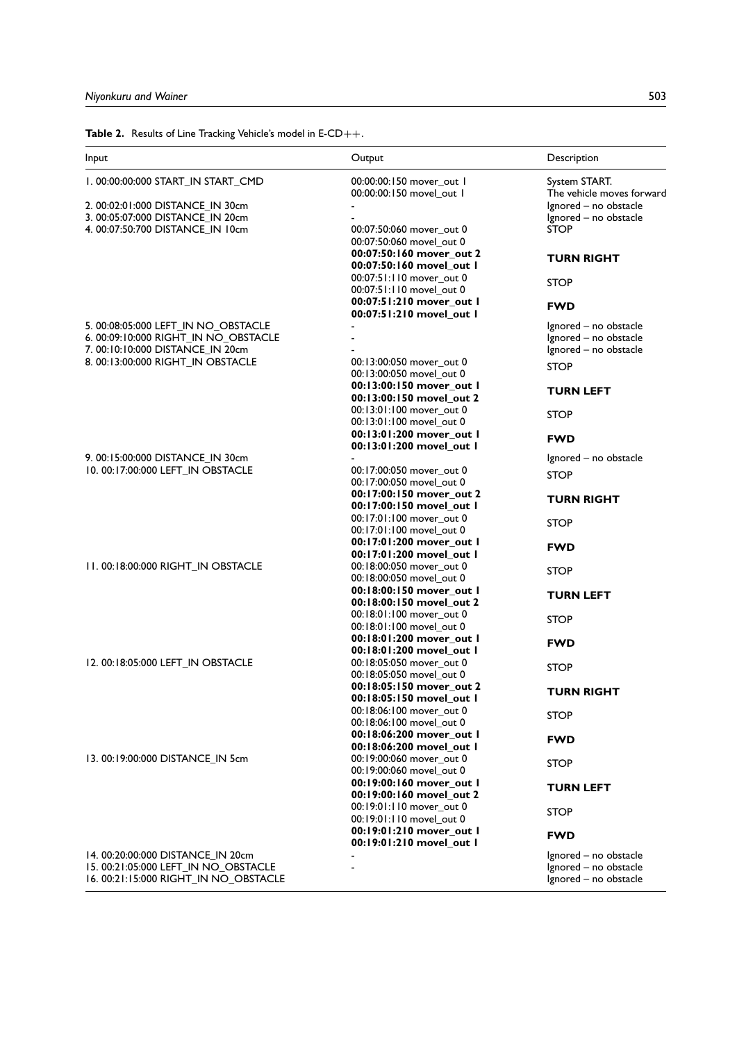**Table 2.** Results of Line Tracking Vehicle's model in  $E\text{-}CD++$ .

| Input                                                               | Output                                               | Description                          |
|---------------------------------------------------------------------|------------------------------------------------------|--------------------------------------|
| 1.00:00:00:000 START_IN START_CMD                                   | 00:00:00:150 mover_out 1                             | System START.                        |
|                                                                     | 00:00:00:150 movel_out 1                             | The vehicle moves forward            |
| 2. 00:02:01:000 DISTANCE_IN 30cm                                    |                                                      | Ignored - no obstacle                |
| 3. 00:05:07:000 DISTANCE_IN 20cm<br>4.00:07:50:700 DISTANCE_IN 10cm | 00:07:50:060 mover_out 0                             | Ignored - no obstacle<br><b>STOP</b> |
|                                                                     | 00:07:50:060 movel_out 0                             |                                      |
|                                                                     | 00:07:50:160 mover_out 2                             |                                      |
|                                                                     | 00:07:50:160 movel_out I                             | <b>TURN RIGHT</b>                    |
|                                                                     | 00:07:51:110 mover_out 0                             |                                      |
|                                                                     | 00:07:51:110 movel_out 0                             | <b>STOP</b>                          |
|                                                                     | 00:07:51:210 mover_out 1                             | <b>FWD</b>                           |
|                                                                     | 00:07:51:210 movel_out 1                             |                                      |
| 5. 00:08:05:000 LEFT_IN NO_OBSTACLE                                 |                                                      | Ignored - no obstacle                |
| 6. 00:09:10:000 RIGHT_IN NO_OBSTACLE                                |                                                      | Ignored - no obstacle                |
| 7.00:10:10:000 DISTANCE_IN 20cm                                     |                                                      | Ignored - no obstacle                |
| 8. 00:13:00:000 RIGHT_IN OBSTACLE                                   | 00:13:00:050 mover_out 0                             | <b>STOP</b>                          |
|                                                                     | 00:13:00:050 movel out 0                             |                                      |
|                                                                     | 00:13:00:150 mover_out 1                             | <b>TURN LEFT</b>                     |
|                                                                     | 00:13:00:150 movel_out 2<br>00:13:01:100 mover out 0 |                                      |
|                                                                     | 00:13:01:100 movel_out 0                             | <b>STOP</b>                          |
|                                                                     | 00:13:01:200 mover_out 1                             |                                      |
|                                                                     | 00:13:01:200 movel out I                             | <b>FWD</b>                           |
| 9. 00:15:00:000 DISTANCE_IN 30cm                                    |                                                      | Ignored - no obstacle                |
| 10. 00:17:00:000 LEFT_IN OBSTACLE                                   | 00:17:00:050 mover_out 0                             |                                      |
|                                                                     | 00:17:00:050 movel out 0                             | <b>STOP</b>                          |
|                                                                     | 00:17:00:150 mover_out 2                             | TURN RIGHT                           |
|                                                                     | 00:17:00:150 movel_out 1                             |                                      |
|                                                                     | 00:17:01:100 mover_out 0                             | STOP                                 |
|                                                                     | 00:17:01:100 movel_out 0                             |                                      |
|                                                                     | 00:17:01:200 mover_out 1                             | <b>FWD</b>                           |
|                                                                     | 00:17:01:200 movel_out 1                             |                                      |
| 11.00:18:00:000 RIGHT_IN OBSTACLE                                   | 00:18:00:050 mover_out 0                             | <b>STOP</b>                          |
|                                                                     | 00:18:00:050 movel out 0<br>00:18:00:150 mover_out 1 |                                      |
|                                                                     | 00:18:00:150 movel_out 2                             | <b>TURN LEFT</b>                     |
|                                                                     | 00:18:01:100 mover_out 0                             |                                      |
|                                                                     | 00:18:01:100 movel_out 0                             | <b>STOP</b>                          |
|                                                                     | 00:18:01:200 mover_out 1                             |                                      |
|                                                                     | 00:18:01:200 movel_out 1                             | <b>FWD</b>                           |
| 12. 00:18:05:000 LEFT IN OBSTACLE                                   | 00:18:05:050 mover_out 0                             | <b>STOP</b>                          |
|                                                                     | 00:18:05:050 movel out 0                             |                                      |
|                                                                     | 00:18:05:150 mover out 2                             | <b>TURN RIGHT</b>                    |
|                                                                     | 00:18:05:150 movel_out 1                             |                                      |
|                                                                     | 00:18:06:100 mover_out 0                             | <b>STOP</b>                          |
|                                                                     | 00:18:06:100 movel out 0                             |                                      |
|                                                                     | 00:18:06:200 mover out I                             | <b>FWD</b>                           |
| 13. 00:19:00:000 DISTANCE_IN 5cm                                    | 00:18:06:200 movel_out I<br>00:19:00:060 mover_out 0 |                                      |
|                                                                     | 00:19:00:060 movel_out 0                             | <b>STOP</b>                          |
|                                                                     | 00:19:00:160 mover_out 1                             |                                      |
|                                                                     | 00:19:00:160 movel_out 2                             | <b>TURN LEFT</b>                     |
|                                                                     | 00:19:01:110 mover_out 0                             |                                      |
|                                                                     | 00:19:01:110 movel_out 0                             | STOP                                 |
|                                                                     | 00:19:01:210 mover_out 1                             | <b>FWD</b>                           |
|                                                                     | 00:19:01:210 movel_out 1                             |                                      |
| 14. 00:20:00:000 DISTANCE IN 20cm                                   |                                                      | Ignored - no obstacle                |
| 15. 00:21:05:000 LEFT_IN NO_OBSTACLE                                |                                                      | Ignored - no obstacle                |
| 16. 00:21:15:000 RIGHT_IN NO_OBSTACLE                               |                                                      | Ignored - no obstacle                |
|                                                                     |                                                      |                                      |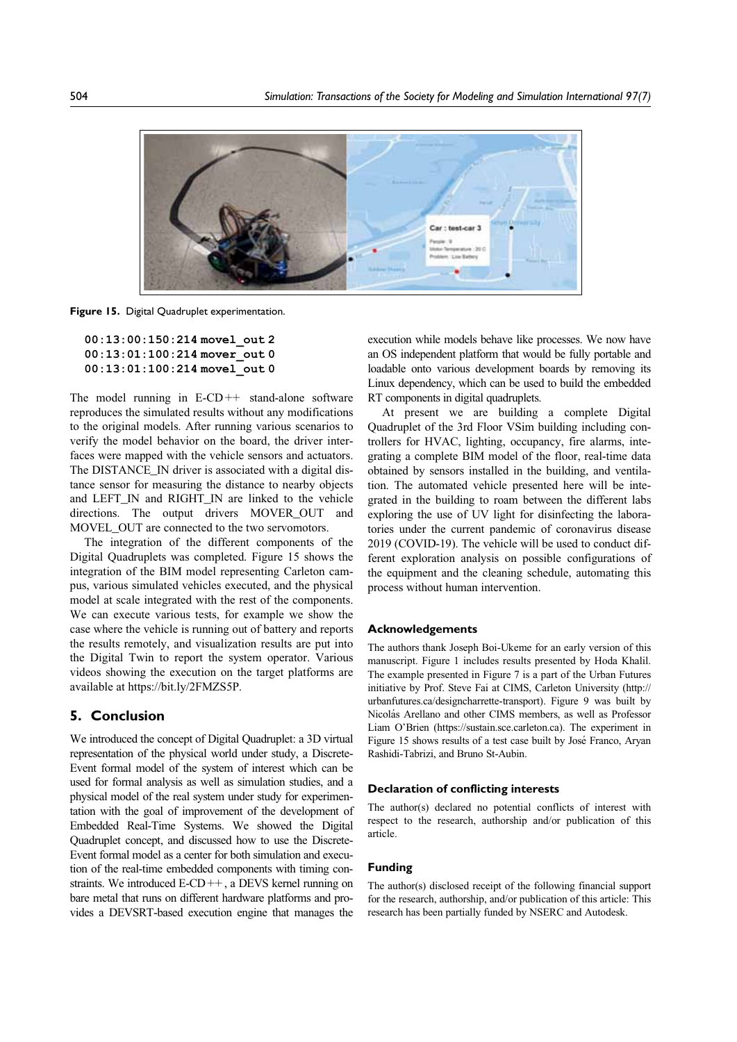

Figure 15. Digital Quadruplet experimentation.

```
00:13:00:150:214 movel_out 2
00:13:01:100:214 mover_out 0
00:13:01:100:214 movel_out 0
```
The model running in  $E-CD++$  stand-alone software reproduces the simulated results without any modifications to the original models. After running various scenarios to verify the model behavior on the board, the driver interfaces were mapped with the vehicle sensors and actuators. The DISTANCE\_IN driver is associated with a digital distance sensor for measuring the distance to nearby objects and LEFT\_IN and RIGHT\_IN are linked to the vehicle directions. The output drivers MOVER OUT and MOVEL OUT are connected to the two servomotors.

The integration of the different components of the Digital Quadruplets was completed. Figure 15 shows the integration of the BIM model representing Carleton campus, various simulated vehicles executed, and the physical model at scale integrated with the rest of the components. We can execute various tests, for example we show the case where the vehicle is running out of battery and reports the results remotely, and visualization results are put into the Digital Twin to report the system operator. Various videos showing the execution on the target platforms are available at https://bit.ly/2FMZS5P.

### 5. Conclusion

We introduced the concept of Digital Quadruplet: a 3D virtual representation of the physical world under study, a Discrete-Event formal model of the system of interest which can be used for formal analysis as well as simulation studies, and a physical model of the real system under study for experimentation with the goal of improvement of the development of Embedded Real-Time Systems. We showed the Digital Quadruplet concept, and discussed how to use the Discrete-Event formal model as a center for both simulation and execution of the real-time embedded components with timing constraints. We introduced E-CD++, a DEVS kernel running on bare metal that runs on different hardware platforms and provides a DEVSRT-based execution engine that manages the

execution while models behave like processes. We now have an OS independent platform that would be fully portable and loadable onto various development boards by removing its Linux dependency, which can be used to build the embedded RT components in digital quadruplets.

At present we are building a complete Digital Quadruplet of the 3rd Floor VSim building including controllers for HVAC, lighting, occupancy, fire alarms, integrating a complete BIM model of the floor, real-time data obtained by sensors installed in the building, and ventilation. The automated vehicle presented here will be integrated in the building to roam between the different labs exploring the use of UV light for disinfecting the laboratories under the current pandemic of coronavirus disease 2019 (COVID-19). The vehicle will be used to conduct different exploration analysis on possible configurations of the equipment and the cleaning schedule, automating this process without human intervention.

### Acknowledgements

The authors thank Joseph Boi-Ukeme for an early version of this manuscript. Figure 1 includes results presented by Hoda Khalil. The example presented in Figure 7 is a part of the Urban Futures initiative by Prof. Steve Fai at CIMS, Carleton University (http:// urbanfutures.ca/designcharrette-transport). Figure 9 was built by Nicolás Arellano and other CIMS members, as well as Professor Liam O'Brien (https://sustain.sce.carleton.ca). The experiment in Figure 15 shows results of a test case built by José Franco, Aryan Rashidi-Tabrizi, and Bruno St-Aubin.

### Declaration of conflicting interests

The author(s) declared no potential conflicts of interest with respect to the research, authorship and/or publication of this article.

#### Funding

The author(s) disclosed receipt of the following financial support for the research, authorship, and/or publication of this article: This research has been partially funded by NSERC and Autodesk.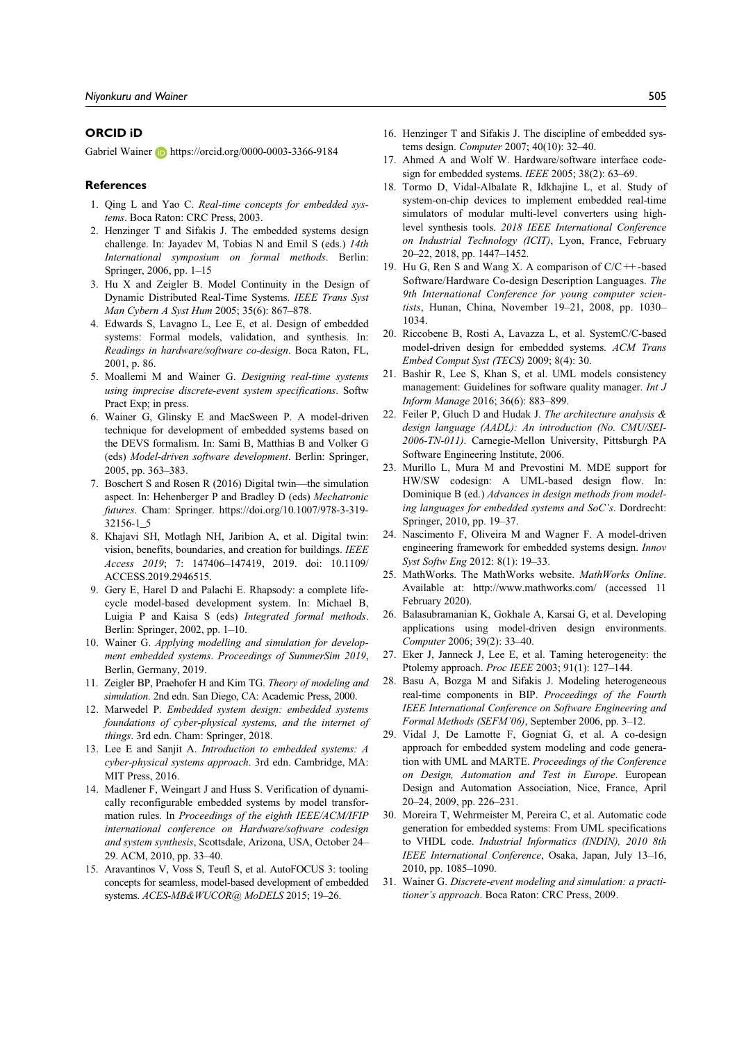### ORCID iD

Gabriel Wainer **b** https://orcid.org/0000-0003-3366-9184

#### References

- 1. Qing L and Yao C. Real-time concepts for embedded systems. Boca Raton: CRC Press, 2003.
- 2. Henzinger T and Sifakis J. The embedded systems design challenge. In: Jayadev M, Tobias N and Emil S (eds.) 14th International symposium on formal methods. Berlin: Springer, 2006, pp. 1–15
- 3. Hu X and Zeigler B. Model Continuity in the Design of Dynamic Distributed Real-Time Systems. IEEE Trans Syst Man Cybern A Syst Hum 2005; 35(6): 867–878.
- 4. Edwards S, Lavagno L, Lee E, et al. Design of embedded systems: Formal models, validation, and synthesis. In: Readings in hardware/software co-design. Boca Raton, FL, 2001, p. 86.
- 5. Moallemi M and Wainer G. Designing real-time systems using imprecise discrete-event system specifications. Softw Pract Exp; in press.
- 6. Wainer G, Glinsky E and MacSween P. A model-driven technique for development of embedded systems based on the DEVS formalism. In: Sami B, Matthias B and Volker G (eds) Model-driven software development. Berlin: Springer, 2005, pp. 363–383.
- 7. Boschert S and Rosen R (2016) Digital twin—the simulation aspect. In: Hehenberger P and Bradley D (eds) Mechatronic futures. Cham: Springer. https://doi.org/10.1007/978-3-319- 32156-1\_5
- 8. Khajavi SH, Motlagh NH, Jaribion A, et al. Digital twin: vision, benefits, boundaries, and creation for buildings. IEEE Access 2019; 7: 147406–147419, 2019. doi: 10.1109/ ACCESS.2019.2946515.
- 9. Gery E, Harel D and Palachi E. Rhapsody: a complete lifecycle model-based development system. In: Michael B, Luigia P and Kaisa S (eds) Integrated formal methods. Berlin: Springer, 2002, pp. 1–10.
- 10. Wainer G. Applying modelling and simulation for development embedded systems. Proceedings of SummerSim 2019, Berlin, Germany, 2019.
- 11. Zeigler BP, Praehofer H and Kim TG. Theory of modeling and simulation. 2nd edn. San Diego, CA: Academic Press, 2000.
- 12. Marwedel P. Embedded system design: embedded systems foundations of cyber-physical systems, and the internet of things. 3rd edn. Cham: Springer, 2018.
- 13. Lee E and Sanjit A. Introduction to embedded systems: A cyber-physical systems approach. 3rd edn. Cambridge, MA: MIT Press, 2016.
- 14. Madlener F, Weingart J and Huss S. Verification of dynamically reconfigurable embedded systems by model transformation rules. In Proceedings of the eighth IEEE/ACM/IFIP international conference on Hardware/software codesign and system synthesis, Scottsdale, Arizona, USA, October 24– 29. ACM, 2010, pp. 33–40.
- 15. Aravantinos V, Voss S, Teufl S, et al. AutoFOCUS 3: tooling concepts for seamless, model-based development of embedded systems. ACES-MB&WUCOR@ MoDELS 2015; 19-26.
- 16. Henzinger T and Sifakis J. The discipline of embedded systems design. Computer 2007; 40(10): 32–40.
- 17. Ahmed A and Wolf W. Hardware/software interface codesign for embedded systems. IEEE 2005; 38(2): 63–69.
- 18. Tormo D, Vidal-Albalate R, Idkhajine L, et al. Study of system-on-chip devices to implement embedded real-time simulators of modular multi-level converters using highlevel synthesis tools. 2018 IEEE International Conference on Industrial Technology (ICIT), Lyon, France, February 20–22, 2018, pp. 1447–1452.
- 19. Hu G, Ren S and Wang X. A comparison of  $C/C$  ++-based Software/Hardware Co-design Description Languages. The 9th International Conference for young computer scientists, Hunan, China, November 19-21, 2008, pp. 1030-1034.
- 20. Riccobene B, Rosti A, Lavazza L, et al. SystemC/C-based model-driven design for embedded systems. ACM Trans Embed Comput Syst (TECS) 2009; 8(4): 30.
- 21. Bashir R, Lee S, Khan S, et al. UML models consistency management: Guidelines for software quality manager. Int J Inform Manage 2016; 36(6): 883–899.
- 22. Feiler P, Gluch D and Hudak J. The architecture analysis & design language (AADL): An introduction (No. CMU/SEI-2006-TN-011). Carnegie-Mellon University, Pittsburgh PA Software Engineering Institute, 2006.
- 23. Murillo L, Mura M and Prevostini M. MDE support for HW/SW codesign: A UML-based design flow. In: Dominique B (ed.) Advances in design methods from modeling languages for embedded systems and SoC's. Dordrecht: Springer, 2010, pp. 19–37.
- 24. Nascimento F, Oliveira M and Wagner F. A model-driven engineering framework for embedded systems design. Innov Syst Softw Eng 2012: 8(1): 19–33.
- 25. MathWorks. The MathWorks website. MathWorks Online. Available at: http://www.mathworks.com/ (accessed 11 February 2020).
- 26. Balasubramanian K, Gokhale A, Karsai G, et al. Developing applications using model-driven design environments. Computer 2006; 39(2): 33–40.
- 27. Eker J, Janneck J, Lee E, et al. Taming heterogeneity: the Ptolemy approach. Proc IEEE 2003; 91(1): 127–144.
- 28. Basu A, Bozga M and Sifakis J. Modeling heterogeneous real-time components in BIP. Proceedings of the Fourth IEEE International Conference on Software Engineering and Formal Methods (SEFM'06), September 2006, pp. 3–12.
- 29. Vidal J, De Lamotte F, Gogniat G, et al. A co-design approach for embedded system modeling and code generation with UML and MARTE. Proceedings of the Conference on Design, Automation and Test in Europe. European Design and Automation Association, Nice, France, April 20–24, 2009, pp. 226–231.
- 30. Moreira T, Wehrmeister M, Pereira C, et al. Automatic code generation for embedded systems: From UML specifications to VHDL code. Industrial Informatics (INDIN), 2010 8th IEEE International Conference, Osaka, Japan, July 13–16, 2010, pp. 1085–1090.
- 31. Wainer G. Discrete-event modeling and simulation: a practitioner's approach. Boca Raton: CRC Press, 2009.